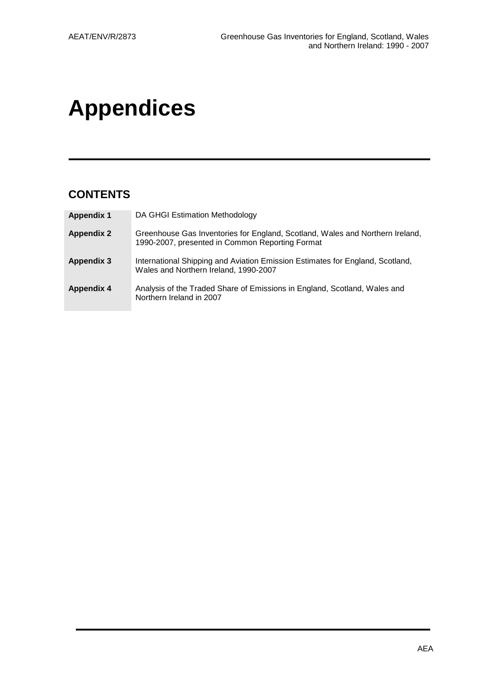# **Appendices**

# **CONTENTS**

| <b>Appendix 1</b> | DA GHGI Estimation Methodology                                                                                                   |
|-------------------|----------------------------------------------------------------------------------------------------------------------------------|
| <b>Appendix 2</b> | Greenhouse Gas Inventories for England, Scotland, Wales and Northern Ireland,<br>1990-2007, presented in Common Reporting Format |
| <b>Appendix 3</b> | International Shipping and Aviation Emission Estimates for England, Scotland,<br>Wales and Northern Ireland, 1990-2007           |
| <b>Appendix 4</b> | Analysis of the Traded Share of Emissions in England, Scotland, Wales and<br>Northern Ireland in 2007                            |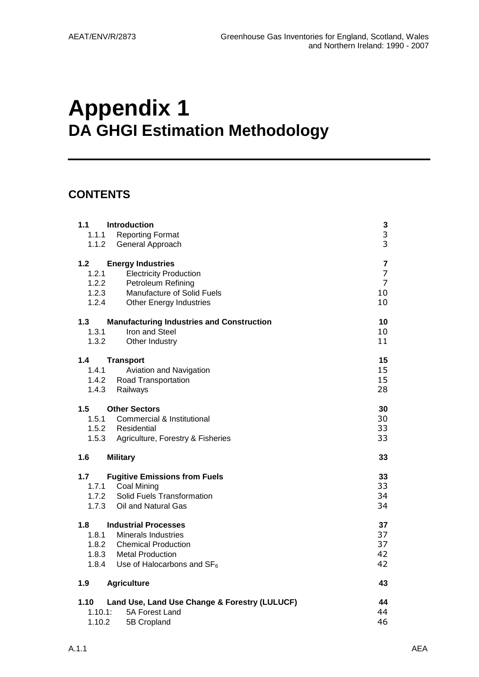# **Appendix 1 DA GHGI Estimation Methodology**

# **CONTENTS**

| 1.1<br><b>Introduction</b><br>1.1.1<br><b>Reporting Format</b><br>1.1.2<br>General Approach                                                                                                   | 3<br>3<br>3                          |
|-----------------------------------------------------------------------------------------------------------------------------------------------------------------------------------------------|--------------------------------------|
| $1.2$<br><b>Energy Industries</b><br>1.2.1<br><b>Electricity Production</b><br>Petroleum Refining<br>1.2.2<br>1.2.3<br>Manufacture of Solid Fuels<br>1.2.4<br><b>Other Energy Industries</b>  | 7<br>7<br>$\overline{7}$<br>10<br>10 |
| <b>Manufacturing Industries and Construction</b><br>1.3<br>Iron and Steel<br>1.3.1<br>1.3.2<br>Other Industry                                                                                 | 10<br>10<br>11                       |
| 1.4<br><b>Transport</b><br>1.4.1<br>Aviation and Navigation<br>1.4.2 Road Transportation<br>1.4.3<br>Railways                                                                                 | 15<br>15<br>15<br>28                 |
| 1.5<br><b>Other Sectors</b><br>1.5.1 Commercial & Institutional<br>1.5.2 Residential<br>1.5.3<br>Agriculture, Forestry & Fisheries                                                            | 30<br>30<br>33<br>33                 |
| 1.6<br><b>Military</b>                                                                                                                                                                        | 33                                   |
| 1.7<br><b>Fugitive Emissions from Fuels</b><br><b>Coal Mining</b><br>1.7.1<br>Solid Fuels Transformation<br>1.7.2<br>1.7.3<br>Oil and Natural Gas                                             | 33<br>33<br>34<br>34                 |
| 1.8<br><b>Industrial Processes</b><br>1.8.1<br><b>Minerals Industries</b><br>1.8.2<br><b>Chemical Production</b><br>1.8.3 Metal Production<br>1.8.4<br>Use of Halocarbons and SF <sub>6</sub> | 37<br>37<br>37<br>42<br>42           |
| 1.9<br><b>Agriculture</b>                                                                                                                                                                     | 43                                   |
| 1.10<br>Land Use, Land Use Change & Forestry (LULUCF)<br>1.10.1:<br>5A Forest Land<br>1.10.2<br>5B Cropland                                                                                   | 44<br>44<br>46                       |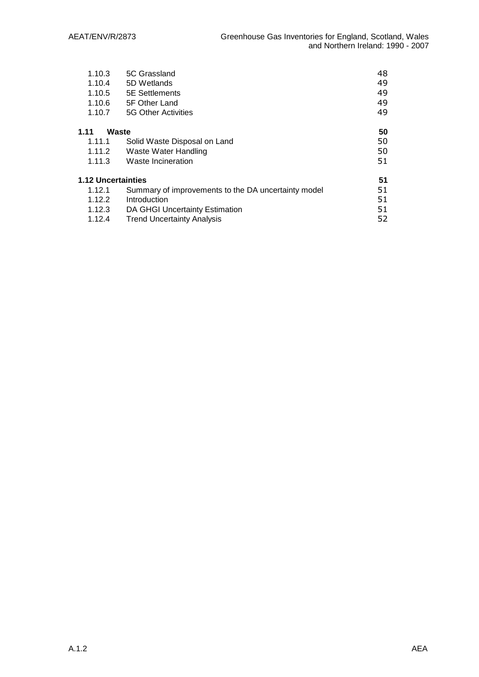| 1.10.3                    | 5C Grassland                                        | 48 |  |  |
|---------------------------|-----------------------------------------------------|----|--|--|
| 1.10.4                    | 5D Wetlands                                         | 49 |  |  |
| 1.10.5                    | <b>5E</b> Settlements                               | 49 |  |  |
| 1.10.6                    | 5F Other Land                                       | 49 |  |  |
| 1.10.7                    | 5G Other Activities                                 | 49 |  |  |
| 1.11                      | Waste                                               | 50 |  |  |
| 1.11.1                    | Solid Waste Disposal on Land                        | 50 |  |  |
| 1.11.2                    | Waste Water Handling                                | 50 |  |  |
| 1.11.3                    | Waste Incineration                                  |    |  |  |
| <b>1.12 Uncertainties</b> |                                                     | 51 |  |  |
| 1.12.1                    | Summary of improvements to the DA uncertainty model | 51 |  |  |
| 1.12.2                    | Introduction                                        | 51 |  |  |
| 1.12.3                    | DA GHGI Uncertainty Estimation                      | 51 |  |  |
| 1.12.4                    | 52<br><b>Trend Uncertainty Analysis</b>             |    |  |  |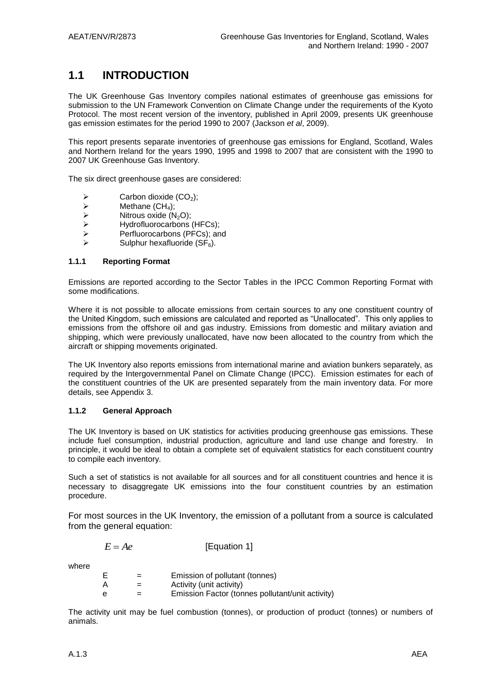# **1.1 INTRODUCTION**

The UK Greenhouse Gas Inventory compiles national estimates of greenhouse gas emissions for submission to the UN Framework Convention on Climate Change under the requirements of the Kyoto Protocol. The most recent version of the inventory, published in April 2009, presents UK greenhouse gas emission estimates for the period 1990 to 2007 (Jackson *et al*, 2009).

This report presents separate inventories of greenhouse gas emissions for England, Scotland, Wales and Northern Ireland for the years 1990, 1995 and 1998 to 2007 that are consistent with the 1990 to 2007 UK Greenhouse Gas Inventory.

The six direct greenhouse gases are considered:

- A<br>  $\triangleright$  Carbon dioxide (CO<sub>2</sub>);<br>  $\triangleright$  Methane (CH<sub>4</sub>);
- A<br>
Methane (CH<sub>4</sub>);<br>
Mitrous oxide (N
- $\triangleright$  Nitrous oxide (N<sub>2</sub>O);<br> $\triangleright$  Hydrofluorocarbons
- $\triangleright$  Hydrofluorocarbons (HFCs);<br>  $\triangleright$  Perfluorocarbons (PFCs): an
- Perfluorocarbons (PFCs); and
- Sulphur hexafluoride  $(SF_6)$ .

### **1.1.1 Reporting Format**

Emissions are reported according to the Sector Tables in the IPCC Common Reporting Format with some modifications.

Where it is not possible to allocate emissions from certain sources to any one constituent country of the United Kingdom, such emissions are calculated and reported as "Unallocated". This only applies to emissions from the offshore oil and gas industry. Emissions from domestic and military aviation and shipping, which were previously unallocated, have now been allocated to the country from which the aircraft or shipping movements originated.

The UK Inventory also reports emissions from international marine and aviation bunkers separately, as required by the Intergovernmental Panel on Climate Change (IPCC). Emission estimates for each of the constituent countries of the UK are presented separately from the main inventory data. For more details, see Appendix 3.

### **1.1.2 General Approach**

The UK Inventory is based on UK statistics for activities producing greenhouse gas emissions. These include fuel consumption, industrial production, agriculture and land use change and forestry. In principle, it would be ideal to obtain a complete set of equivalent statistics for each constituent country to compile each inventory.

Such a set of statistics is not available for all sources and for all constituent countries and hence it is necessary to disaggregate UK emissions into the four constituent countries by an estimation procedure.

For most sources in the UK Inventory, the emission of a pollutant from a source is calculated from the general equation:

| [Equation 1] |
|--------------|
|              |

where

| E | $=$ | Emission of pollutant (tonnes)                   |
|---|-----|--------------------------------------------------|
| А | $=$ | Activity (unit activity)                         |
| е | $=$ | Emission Factor (tonnes pollutant/unit activity) |

The activity unit may be fuel combustion (tonnes), or production of product (tonnes) or numbers of animals.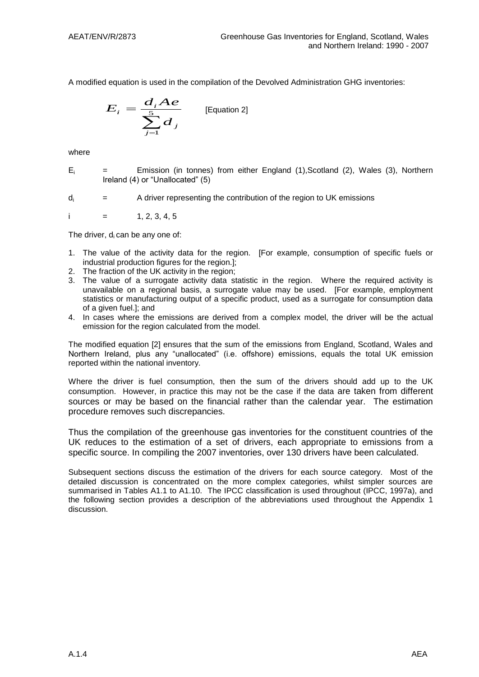A modified equation is used in the compilation of the Devolved Administration GHG inventories:

$$
E_i = \frac{d_i Ae}{\sum_{j=1}^{5} d_j}
$$
 [Equation 2]

where

- $E_i$  = Emission (in tonnes) from either England (1), Scotland (2), Wales (3), Northern Ireland (4) or "Unallocated" (5)
- $d_i$  = A driver representing the contribution of the region to UK emissions

i  $=$  1, 2, 3, 4, 5

The driver, d<sub>i</sub> can be any one of:

- 1. The value of the activity data for the region. [For example, consumption of specific fuels or industrial production figures for the region.];
- 2. The fraction of the UK activity in the region;
- 3. The value of a surrogate activity data statistic in the region. Where the required activity is unavailable on a regional basis, a surrogate value may be used. [For example, employment statistics or manufacturing output of a specific product, used as a surrogate for consumption data of a given fuel.]; and
- 4. In cases where the emissions are derived from a complex model, the driver will be the actual emission for the region calculated from the model.

The modified equation [2] ensures that the sum of the emissions from England, Scotland, Wales and Northern Ireland, plus any "unallocated" (i.e. offshore) emissions, equals the total UK emission reported within the national inventory.

Where the driver is fuel consumption, then the sum of the drivers should add up to the UK consumption. However, in practice this may not be the case if the data are taken from different sources or may be based on the financial rather than the calendar year. The estimation procedure removes such discrepancies.

Thus the compilation of the greenhouse gas inventories for the constituent countries of the UK reduces to the estimation of a set of drivers, each appropriate to emissions from a specific source. In compiling the 2007 inventories, over 130 drivers have been calculated.

Subsequent sections discuss the estimation of the drivers for each source category. Most of the detailed discussion is concentrated on the more complex categories, whilst simpler sources are summarised in Tables A1.1 to A1.10. The IPCC classification is used throughout (IPCC, 1997a), and the following section provides a description of the abbreviations used throughout the Appendix 1 discussion.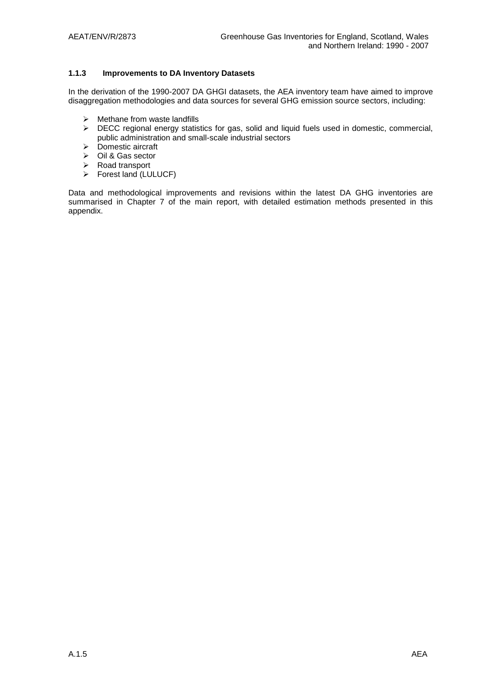### **1.1.3 Improvements to DA Inventory Datasets**

In the derivation of the 1990-2007 DA GHGI datasets, the AEA inventory team have aimed to improve disaggregation methodologies and data sources for several GHG emission source sectors, including:

- $\triangleright$  Methane from waste landfills
- > DECC regional energy statistics for gas, solid and liquid fuels used in domestic, commercial, public administration and small-scale industrial sectors
- > Domestic aircraft
- $\triangleright$  Oil & Gas sector
- Road transport
- Forest land (LULUCF)

Data and methodological improvements and revisions within the latest DA GHG inventories are summarised in Chapter 7 of the main report, with detailed estimation methods presented in this appendix.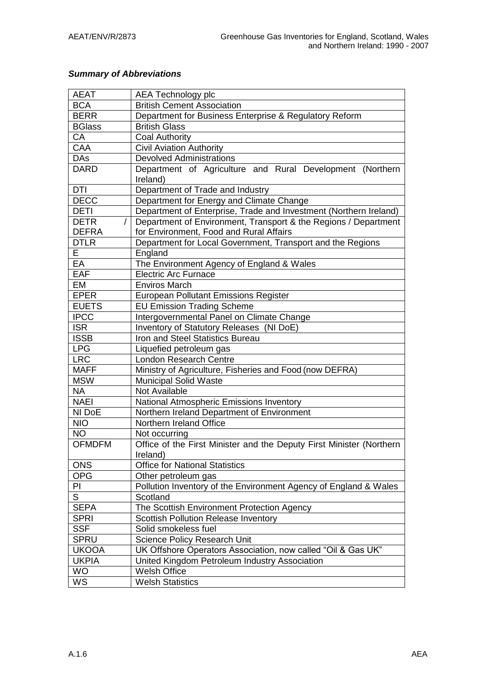### *Summary of Abbreviations*

| Department of Agriculture and Rural Development (Northern                    |  |  |
|------------------------------------------------------------------------------|--|--|
|                                                                              |  |  |
|                                                                              |  |  |
|                                                                              |  |  |
| Department of Enterprise, Trade and Investment (Northern Ireland)            |  |  |
| Department of Environment, Transport & the Regions / Department              |  |  |
|                                                                              |  |  |
|                                                                              |  |  |
|                                                                              |  |  |
|                                                                              |  |  |
|                                                                              |  |  |
|                                                                              |  |  |
|                                                                              |  |  |
|                                                                              |  |  |
|                                                                              |  |  |
|                                                                              |  |  |
| Inventory of Statutory Releases (NI DoE)<br>Iron and Steel Statistics Bureau |  |  |
| Liquefied petroleum gas                                                      |  |  |
| <b>London Research Centre</b>                                                |  |  |
|                                                                              |  |  |
|                                                                              |  |  |
|                                                                              |  |  |
|                                                                              |  |  |
|                                                                              |  |  |
|                                                                              |  |  |
|                                                                              |  |  |
| Office of the First Minister and the Deputy First Minister (Northern         |  |  |
|                                                                              |  |  |
|                                                                              |  |  |
|                                                                              |  |  |
| Pollution Inventory of the Environment Agency of England & Wales             |  |  |
|                                                                              |  |  |
|                                                                              |  |  |
|                                                                              |  |  |
|                                                                              |  |  |
|                                                                              |  |  |
|                                                                              |  |  |
|                                                                              |  |  |
|                                                                              |  |  |
|                                                                              |  |  |
| UK Offshore Operators Association, now called "Oil & Gas UK"                 |  |  |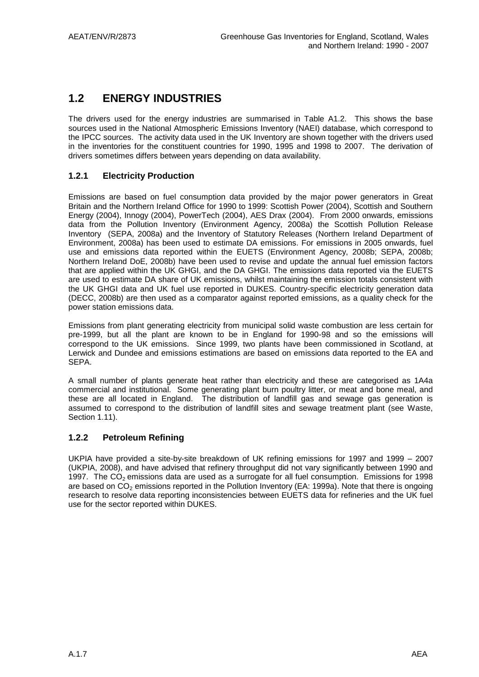# **1.2 ENERGY INDUSTRIES**

The drivers used for the energy industries are summarised in Table A1.2. This shows the base sources used in the National Atmospheric Emissions Inventory (NAEI) database, which correspond to the IPCC sources. The activity data used in the UK Inventory are shown together with the drivers used in the inventories for the constituent countries for 1990, 1995 and 1998 to 2007. The derivation of drivers sometimes differs between years depending on data availability.

### **1.2.1 Electricity Production**

Emissions are based on fuel consumption data provided by the major power generators in Great Britain and the Northern Ireland Office for 1990 to 1999: Scottish Power (2004), Scottish and Southern Energy (2004), Innogy (2004), PowerTech (2004), AES Drax (2004). From 2000 onwards, emissions data from the Pollution Inventory (Environment Agency, 2008a) the Scottish Pollution Release Inventory (SEPA, 2008a) and the Inventory of Statutory Releases (Northern Ireland Department of Environment, 2008a) has been used to estimate DA emissions. For emissions in 2005 onwards, fuel use and emissions data reported within the EUETS (Environment Agency, 2008b; SEPA, 2008b; Northern Ireland DoE, 2008b) have been used to revise and update the annual fuel emission factors that are applied within the UK GHGI, and the DA GHGI. The emissions data reported via the EUETS are used to estimate DA share of UK emissions, whilst maintaining the emission totals consistent with the UK GHGI data and UK fuel use reported in DUKES. Country-specific electricity generation data (DECC, 2008b) are then used as a comparator against reported emissions, as a quality check for the power station emissions data.

Emissions from plant generating electricity from municipal solid waste combustion are less certain for pre-1999, but all the plant are known to be in England for 1990-98 and so the emissions will correspond to the UK emissions. Since 1999, two plants have been commissioned in Scotland, at Lerwick and Dundee and emissions estimations are based on emissions data reported to the EA and **SEPA** 

A small number of plants generate heat rather than electricity and these are categorised as 1A4a commercial and institutional. Some generating plant burn poultry litter, or meat and bone meal, and these are all located in England. The distribution of landfill gas and sewage gas generation is assumed to correspond to the distribution of landfill sites and sewage treatment plant (see Waste, Section 1.11).

### **1.2.2 Petroleum Refining**

UKPIA have provided a site-by-site breakdown of UK refining emissions for 1997 and 1999 – 2007 (UKPIA, 2008), and have advised that refinery throughput did not vary significantly between 1990 and 1997. The  $CO<sub>2</sub>$  emissions data are used as a surrogate for all fuel consumption. Emissions for 1998 are based on  $CO<sub>2</sub>$  emissions reported in the Pollution Inventory (EA: 1999a). Note that there is ongoing research to resolve data reporting inconsistencies between EUETS data for refineries and the UK fuel use for the sector reported within DUKES.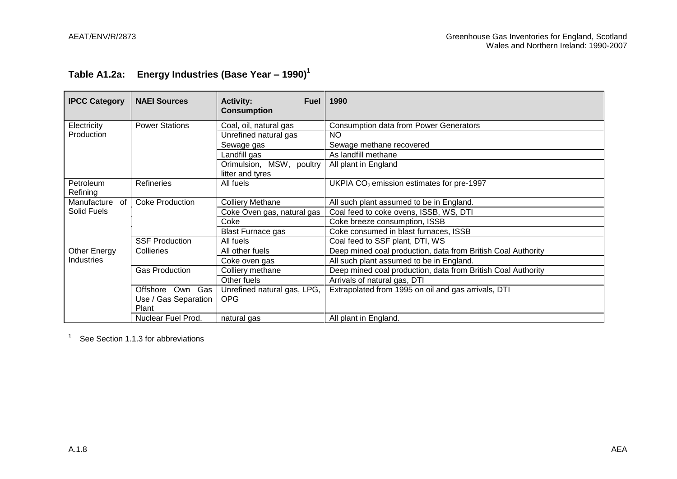# **Table A1.2a: Energy Industries (Base Year – 1990)<sup>1</sup>**

| <b>IPCC Category</b>  | <b>NAEI Sources</b>    | <b>Activity:</b><br><b>Fuel</b><br><b>Consumption</b> | 1990                                                         |
|-----------------------|------------------------|-------------------------------------------------------|--------------------------------------------------------------|
| Electricity           | <b>Power Stations</b>  | Coal, oil, natural gas                                | <b>Consumption data from Power Generators</b>                |
| Production            |                        | Unrefined natural gas                                 | <b>NO</b>                                                    |
|                       |                        | Sewage gas                                            | Sewage methane recovered                                     |
|                       |                        | Landfill gas                                          | As landfill methane                                          |
|                       |                        | Orimulsion, MSW, poultry<br>litter and tyres          | All plant in England                                         |
| Petroleum<br>Refining | Refineries             | All fuels                                             | UKPIA $CO2$ emission estimates for pre-1997                  |
| Manufacture<br>of     | <b>Coke Production</b> | <b>Colliery Methane</b>                               | All such plant assumed to be in England.                     |
| Solid Fuels           |                        | Coke Oven gas, natural gas                            | Coal feed to coke ovens, ISSB, WS, DTI                       |
|                       |                        | Coke                                                  | Coke breeze consumption, ISSB                                |
|                       |                        | <b>Blast Furnace gas</b>                              | Coke consumed in blast furnaces, ISSB                        |
|                       | <b>SSF Production</b>  | All fuels                                             | Coal feed to SSF plant, DTI, WS                              |
| Other Energy          | Collieries             | All other fuels                                       | Deep mined coal production, data from British Coal Authority |
| <b>Industries</b>     |                        | Coke oven gas                                         | All such plant assumed to be in England.                     |
|                       | <b>Gas Production</b>  | Colliery methane                                      | Deep mined coal production, data from British Coal Authority |
|                       |                        | Other fuels                                           | Arrivals of natural gas, DTI                                 |
|                       | Gas<br>Offshore<br>Own | Unrefined natural gas, LPG,                           | Extrapolated from 1995 on oil and gas arrivals, DTI          |
|                       | Use / Gas Separation   | <b>OPG</b>                                            |                                                              |
|                       | Plant                  |                                                       |                                                              |
|                       | Nuclear Fuel Prod.     | natural gas                                           | All plant in England.                                        |

See Section 1.1.3 for abbreviations

1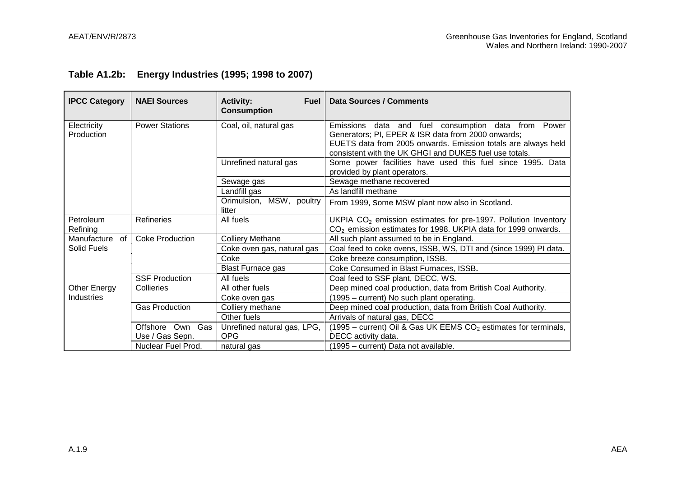|  | Table A1.2b: Energy Industries (1995; 1998 to 2007) |  |
|--|-----------------------------------------------------|--|
|--|-----------------------------------------------------|--|

| <b>IPCC Category</b>      | <b>NAEI Sources</b>    | <b>Activity:</b><br><b>Fuel</b><br><b>Consumption</b> | <b>Data Sources / Comments</b>                                                                                                                                                                                                             |
|---------------------------|------------------------|-------------------------------------------------------|--------------------------------------------------------------------------------------------------------------------------------------------------------------------------------------------------------------------------------------------|
| Electricity<br>Production | <b>Power Stations</b>  | Coal, oil, natural gas                                | data and fuel consumption data from<br>Emissions<br>Power<br>Generators; PI, EPER & ISR data from 2000 onwards;<br>EUETS data from 2005 onwards. Emission totals are always held<br>consistent with the UK GHGI and DUKES fuel use totals. |
|                           |                        | Unrefined natural gas                                 | Some power facilities have used this fuel since 1995. Data<br>provided by plant operators.                                                                                                                                                 |
|                           |                        | Sewage gas                                            | Sewage methane recovered                                                                                                                                                                                                                   |
|                           |                        | Landfill gas                                          | As landfill methane                                                                                                                                                                                                                        |
|                           |                        | Orimulsion, MSW, poultry<br>litter                    | From 1999, Some MSW plant now also in Scotland.                                                                                                                                                                                            |
| Petroleum<br>Refining     | <b>Refineries</b>      | All fuels                                             | UKPIA $CO2$ emission estimates for pre-1997. Pollution Inventory<br>CO <sub>2</sub> emission estimates for 1998. UKPIA data for 1999 onwards.                                                                                              |
| Manufacture<br>of l       | <b>Coke Production</b> | <b>Colliery Methane</b>                               | All such plant assumed to be in England.                                                                                                                                                                                                   |
| Solid Fuels               |                        | Coke oven gas, natural gas                            | Coal feed to coke ovens, ISSB, WS, DTI and (since 1999) PI data.                                                                                                                                                                           |
|                           |                        | Coke                                                  | Coke breeze consumption, ISSB.                                                                                                                                                                                                             |
|                           |                        | <b>Blast Furnace gas</b>                              | Coke Consumed in Blast Furnaces, ISSB.                                                                                                                                                                                                     |
|                           | <b>SSF Production</b>  | All fuels                                             | Coal feed to SSF plant, DECC, WS.                                                                                                                                                                                                          |
| Other Energy              | Collieries             | All other fuels                                       | Deep mined coal production, data from British Coal Authority.                                                                                                                                                                              |
| Industries                |                        | Coke oven gas                                         | (1995 – current) No such plant operating.                                                                                                                                                                                                  |
|                           | <b>Gas Production</b>  | Colliery methane                                      | Deep mined coal production, data from British Coal Authority.                                                                                                                                                                              |
|                           |                        | Other fuels                                           | Arrivals of natural gas, DECC                                                                                                                                                                                                              |
|                           | Gas<br>Offshore<br>Own | Unrefined natural gas, LPG,                           | (1995 – current) Oil & Gas UK EEMS $CO2$ estimates for terminals,                                                                                                                                                                          |
|                           | Use / Gas Sepn.        | <b>OPG</b>                                            | DECC activity data.                                                                                                                                                                                                                        |
|                           | Nuclear Fuel Prod.     | natural gas                                           | (1995 – current) Data not available.                                                                                                                                                                                                       |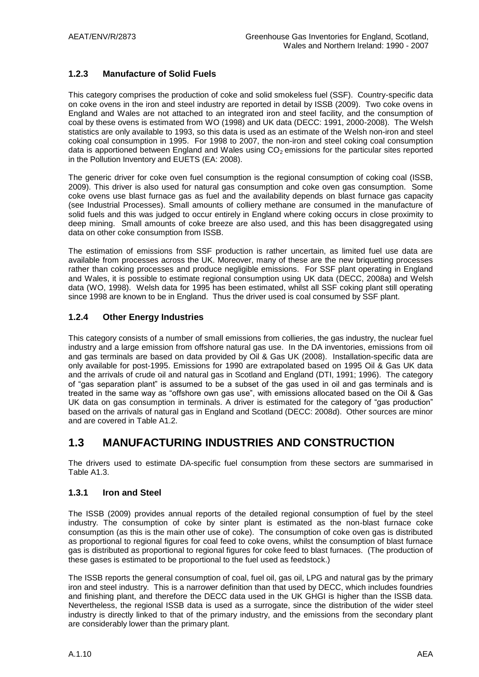### **1.2.3 Manufacture of Solid Fuels**

This category comprises the production of coke and solid smokeless fuel (SSF). Country-specific data on coke ovens in the iron and steel industry are reported in detail by ISSB (2009). Two coke ovens in England and Wales are not attached to an integrated iron and steel facility, and the consumption of coal by these ovens is estimated from WO (1998) and UK data (DECC: 1991, 2000-2008). The Welsh statistics are only available to 1993, so this data is used as an estimate of the Welsh non-iron and steel coking coal consumption in 1995. For 1998 to 2007, the non-iron and steel coking coal consumption data is apportioned between England and Wales using  $CO<sub>2</sub>$  emissions for the particular sites reported in the Pollution Inventory and EUETS (EA: 2008).

The generic driver for coke oven fuel consumption is the regional consumption of coking coal (ISSB, 2009). This driver is also used for natural gas consumption and coke oven gas consumption. Some coke ovens use blast furnace gas as fuel and the availability depends on blast furnace gas capacity (see Industrial Processes). Small amounts of colliery methane are consumed in the manufacture of solid fuels and this was judged to occur entirely in England where coking occurs in close proximity to deep mining. Small amounts of coke breeze are also used, and this has been disaggregated using data on other coke consumption from ISSB.

The estimation of emissions from SSF production is rather uncertain, as limited fuel use data are available from processes across the UK. Moreover, many of these are the new briquetting processes rather than coking processes and produce negligible emissions. For SSF plant operating in England and Wales, it is possible to estimate regional consumption using UK data (DECC, 2008a) and Welsh data (WO, 1998). Welsh data for 1995 has been estimated, whilst all SSF coking plant still operating since 1998 are known to be in England. Thus the driver used is coal consumed by SSF plant.

### **1.2.4 Other Energy Industries**

This category consists of a number of small emissions from collieries, the gas industry, the nuclear fuel industry and a large emission from offshore natural gas use. In the DA inventories, emissions from oil and gas terminals are based on data provided by Oil & Gas UK (2008). Installation-specific data are only available for post-1995. Emissions for 1990 are extrapolated based on 1995 Oil & Gas UK data and the arrivals of crude oil and natural gas in Scotland and England (DTI, 1991; 1996). The category of "gas separation plant" is assumed to be a subset of the gas used in oil and gas terminals and is treated in the same way as "offshore own gas use", with emissions allocated based on the Oil & Gas UK data on gas consumption in terminals. A driver is estimated for the category of "gas production" based on the arrivals of natural gas in England and Scotland (DECC: 2008d). Other sources are minor and are covered in Table A1.2.

### **1.3 MANUFACTURING INDUSTRIES AND CONSTRUCTION**

The drivers used to estimate DA-specific fuel consumption from these sectors are summarised in Table A1.3.

### **1.3.1 Iron and Steel**

The ISSB (2009) provides annual reports of the detailed regional consumption of fuel by the steel industry. The consumption of coke by sinter plant is estimated as the non-blast furnace coke consumption (as this is the main other use of coke). The consumption of coke oven gas is distributed as proportional to regional figures for coal feed to coke ovens, whilst the consumption of blast furnace gas is distributed as proportional to regional figures for coke feed to blast furnaces. (The production of these gases is estimated to be proportional to the fuel used as feedstock.)

The ISSB reports the general consumption of coal, fuel oil, gas oil, LPG and natural gas by the primary iron and steel industry. This is a narrower definition than that used by DECC, which includes foundries and finishing plant, and therefore the DECC data used in the UK GHGI is higher than the ISSB data. Nevertheless, the regional ISSB data is used as a surrogate, since the distribution of the wider steel industry is directly linked to that of the primary industry, and the emissions from the secondary plant are considerably lower than the primary plant.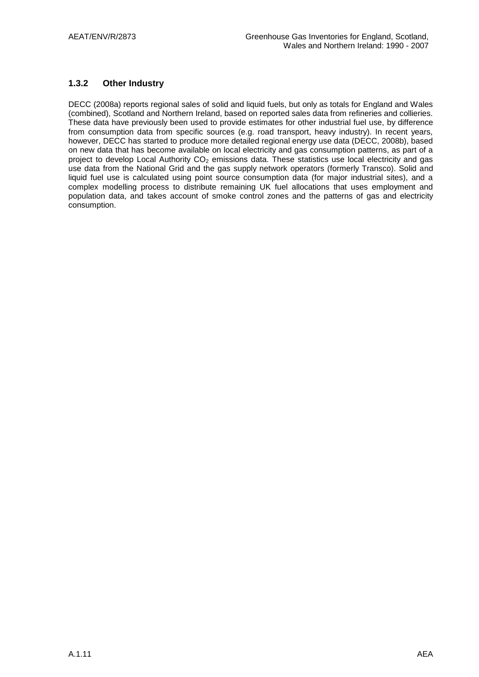### **1.3.2 Other Industry**

DECC (2008a) reports regional sales of solid and liquid fuels, but only as totals for England and Wales (combined), Scotland and Northern Ireland, based on reported sales data from refineries and collieries. These data have previously been used to provide estimates for other industrial fuel use, by difference from consumption data from specific sources (e.g. road transport, heavy industry). In recent years, however, DECC has started to produce more detailed regional energy use data (DECC, 2008b), based on new data that has become available on local electricity and gas consumption patterns, as part of a project to develop Local Authority  $CO<sub>2</sub>$  emissions data. These statistics use local electricity and gas use data from the National Grid and the gas supply network operators (formerly Transco). Solid and liquid fuel use is calculated using point source consumption data (for major industrial sites), and a complex modelling process to distribute remaining UK fuel allocations that uses employment and population data, and takes account of smoke control zones and the patterns of gas and electricity consumption.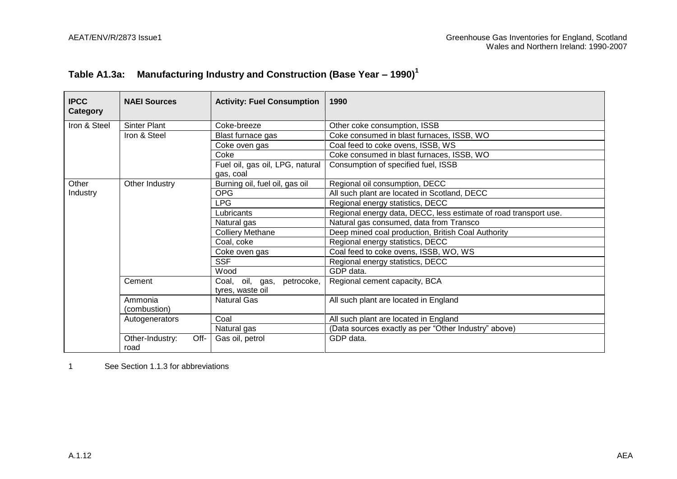| Table A1.3a: Manufacturing Industry and Construction (Base Year – 1990) $^1$ |
|------------------------------------------------------------------------------|
|                                                                              |

| <b>IPCC</b><br>Category | <b>NAEI Sources</b>             | <b>Activity: Fuel Consumption</b>                 | 1990                                                             |
|-------------------------|---------------------------------|---------------------------------------------------|------------------------------------------------------------------|
| Iron & Steel            | <b>Sinter Plant</b>             | Coke-breeze                                       | Other coke consumption, ISSB                                     |
|                         | Iron & Steel                    | Blast furnace gas                                 | Coke consumed in blast furnaces, ISSB, WO                        |
|                         |                                 | Coke oven gas                                     | Coal feed to coke ovens, ISSB, WS                                |
|                         |                                 | Coke                                              | Coke consumed in blast furnaces, ISSB, WO                        |
|                         |                                 | Fuel oil, gas oil, LPG, natural                   | Consumption of specified fuel, ISSB                              |
|                         |                                 | gas, coal                                         |                                                                  |
| Other                   | Other Industry                  | Burning oil, fuel oil, gas oil                    | Regional oil consumption, DECC                                   |
| Industry                |                                 | <b>OPG</b>                                        | All such plant are located in Scotland, DECC                     |
|                         |                                 | LPG                                               | Regional energy statistics, DECC                                 |
|                         |                                 | Lubricants                                        | Regional energy data, DECC, less estimate of road transport use. |
|                         |                                 | Natural gas                                       | Natural gas consumed, data from Transco                          |
|                         |                                 | <b>Colliery Methane</b>                           | Deep mined coal production, British Coal Authority               |
|                         |                                 | Coal, coke                                        | Regional energy statistics, DECC                                 |
|                         |                                 | Coke oven gas                                     | Coal feed to coke ovens, ISSB, WO, WS                            |
|                         |                                 | <b>SSF</b>                                        | Regional energy statistics, DECC                                 |
|                         |                                 | Wood                                              | GDP data.                                                        |
|                         | Cement                          | Coal, oil, gas,<br>petrocoke,<br>tyres, waste oil | Regional cement capacity, BCA                                    |
|                         | Ammonia<br>(combustion)         | <b>Natural Gas</b>                                | All such plant are located in England                            |
|                         | Autogenerators                  | Coal                                              | All such plant are located in England                            |
|                         |                                 | Natural gas                                       | (Data sources exactly as per "Other Industry" above)             |
|                         | Off-<br>Other-Industry:<br>road | Gas oil, petrol                                   | GDP data.                                                        |

1 See Section 1.1.3 for abbreviations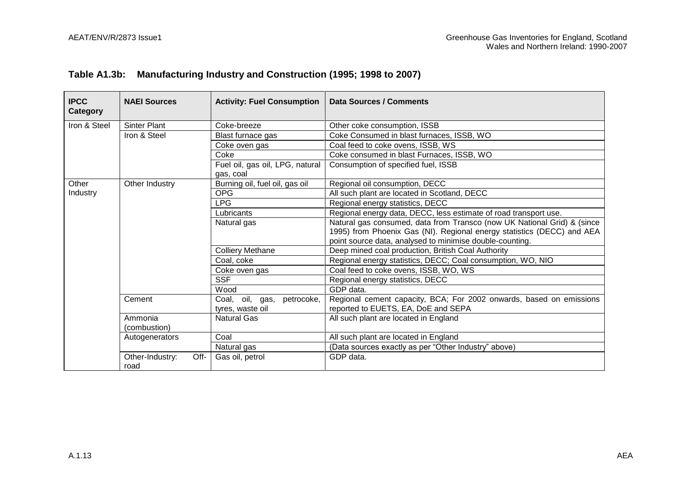### **Table A1.3b: Manufacturing Industry and Construction (1995; 1998 to 2007)**

| <b>IPCC</b><br>Category | <b>NAEI Sources</b>             | <b>Activity: Fuel Consumption</b>                 | <b>Data Sources / Comments</b>                                                                                                                                                                                |
|-------------------------|---------------------------------|---------------------------------------------------|---------------------------------------------------------------------------------------------------------------------------------------------------------------------------------------------------------------|
| Iron & Steel            | <b>Sinter Plant</b>             | Coke-breeze                                       | Other coke consumption, ISSB                                                                                                                                                                                  |
|                         | Iron & Steel                    | Blast furnace gas                                 | Coke Consumed in blast furnaces, ISSB, WO                                                                                                                                                                     |
|                         |                                 | Coke oven gas                                     | Coal feed to coke ovens, ISSB, WS                                                                                                                                                                             |
|                         |                                 | Coke                                              | Coke consumed in blast Furnaces, ISSB, WO                                                                                                                                                                     |
|                         |                                 | Fuel oil, gas oil, LPG, natural<br>gas, coal      | Consumption of specified fuel, ISSB                                                                                                                                                                           |
| Other                   | Other Industry                  | Burning oil, fuel oil, gas oil                    | Regional oil consumption, DECC                                                                                                                                                                                |
| Industry                |                                 | <b>OPG</b>                                        | All such plant are located in Scotland, DECC                                                                                                                                                                  |
|                         |                                 | <b>LPG</b>                                        | Regional energy statistics, DECC                                                                                                                                                                              |
|                         |                                 | Lubricants                                        | Regional energy data, DECC, less estimate of road transport use.                                                                                                                                              |
|                         |                                 | Natural gas                                       | Natural gas consumed, data from Transco (now UK National Grid) & (since<br>1995) from Phoenix Gas (NI). Regional energy statistics (DECC) and AEA<br>point source data, analysed to minimise double-counting. |
|                         |                                 | <b>Colliery Methane</b>                           | Deep mined coal production, British Coal Authority                                                                                                                                                            |
|                         |                                 | Coal, coke                                        | Regional energy statistics, DECC; Coal consumption, WO, NIO                                                                                                                                                   |
|                         |                                 | Coke oven gas                                     | Coal feed to coke ovens, ISSB, WO, WS                                                                                                                                                                         |
|                         |                                 | <b>SSF</b>                                        | Regional energy statistics, DECC                                                                                                                                                                              |
|                         |                                 | Wood                                              | GDP data.                                                                                                                                                                                                     |
|                         | Cement                          | Coal, oil, gas,<br>petrocoke,<br>tyres, waste oil | Regional cement capacity, BCA; For 2002 onwards, based on emissions<br>reported to EUETS, EA, DoE and SEPA                                                                                                    |
|                         | Ammonia<br>(combustion)         | <b>Natural Gas</b>                                | All such plant are located in England                                                                                                                                                                         |
|                         | Autogenerators                  | Coal                                              | All such plant are located in England                                                                                                                                                                         |
|                         |                                 | Natural gas                                       | (Data sources exactly as per "Other Industry" above)                                                                                                                                                          |
|                         | Other-Industry:<br>Off-<br>road | Gas oil, petrol                                   | GDP data.                                                                                                                                                                                                     |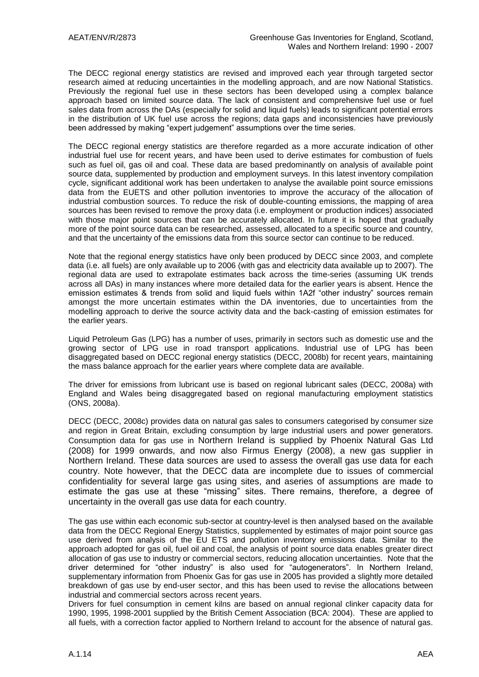The DECC regional energy statistics are revised and improved each year through targeted sector research aimed at reducing uncertainties in the modelling approach, and are now National Statistics. Previously the regional fuel use in these sectors has been developed using a complex balance approach based on limited source data. The lack of consistent and comprehensive fuel use or fuel sales data from across the DAs (especially for solid and liquid fuels) leads to significant potential errors in the distribution of UK fuel use across the regions; data gaps and inconsistencies have previously been addressed by making "expert judgement" assumptions over the time series.

The DECC regional energy statistics are therefore regarded as a more accurate indication of other industrial fuel use for recent years, and have been used to derive estimates for combustion of fuels such as fuel oil, gas oil and coal. These data are based predominantly on analysis of available point source data, supplemented by production and employment surveys. In this latest inventory compilation cycle, significant additional work has been undertaken to analyse the available point source emissions data from the EUETS and other pollution inventories to improve the accuracy of the allocation of industrial combustion sources. To reduce the risk of double-counting emissions, the mapping of area sources has been revised to remove the proxy data (i.e. employment or production indices) associated with those major point sources that can be accurately allocated. In future it is hoped that gradually more of the point source data can be researched, assessed, allocated to a specific source and country, and that the uncertainty of the emissions data from this source sector can continue to be reduced.

Note that the regional energy statistics have only been produced by DECC since 2003, and complete data (i.e. all fuels) are only available up to 2006 (with gas and electricity data available up to 2007). The regional data are used to extrapolate estimates back across the time-series (assuming UK trends across all DAs) in many instances where more detailed data for the earlier years is absent. Hence the emission estimates & trends from solid and liquid fuels within 1A2f "other industry" sources remain amongst the more uncertain estimates within the DA inventories, due to uncertainties from the modelling approach to derive the source activity data and the back-casting of emission estimates for the earlier years.

Liquid Petroleum Gas (LPG) has a number of uses, primarily in sectors such as domestic use and the growing sector of LPG use in road transport applications. Industrial use of LPG has been disaggregated based on DECC regional energy statistics (DECC, 2008b) for recent years, maintaining the mass balance approach for the earlier years where complete data are available.

The driver for emissions from lubricant use is based on regional lubricant sales (DECC, 2008a) with England and Wales being disaggregated based on regional manufacturing employment statistics (ONS, 2008a).

DECC (DECC, 2008c) provides data on natural gas sales to consumers categorised by consumer size and region in Great Britain, excluding consumption by large industrial users and power generators. Consumption data for gas use in Northern Ireland is supplied by Phoenix Natural Gas Ltd (2008) for 1999 onwards, and now also Firmus Energy (2008), a new gas supplier in Northern Ireland. These data sources are used to assess the overall gas use data for each country. Note however, that the DECC data are incomplete due to issues of commercial confidentiality for several large gas using sites, and aseries of assumptions are made to estimate the gas use at these "missing" sites. There remains, therefore, a degree of uncertainty in the overall gas use data for each country.

The gas use within each economic sub-sector at country-level is then analysed based on the available data from the DECC Regional Energy Statistics, supplemented by estimates of major point source gas use derived from analysis of the EU ETS and pollution inventory emissions data. Similar to the approach adopted for gas oil, fuel oil and coal, the analysis of point source data enables greater direct allocation of gas use to industry or commercial sectors, reducing allocation uncertainties. Note that the driver determined for "other industry" is also used for "autogenerators". In Northern Ireland, supplementary information from Phoenix Gas for gas use in 2005 has provided a slightly more detailed breakdown of gas use by end-user sector, and this has been used to revise the allocations between industrial and commercial sectors across recent years.

Drivers for fuel consumption in cement kilns are based on annual regional clinker capacity data for 1990, 1995, 1998-2001 supplied by the British Cement Association (BCA: 2004). These are applied to all fuels, with a correction factor applied to Northern Ireland to account for the absence of natural gas.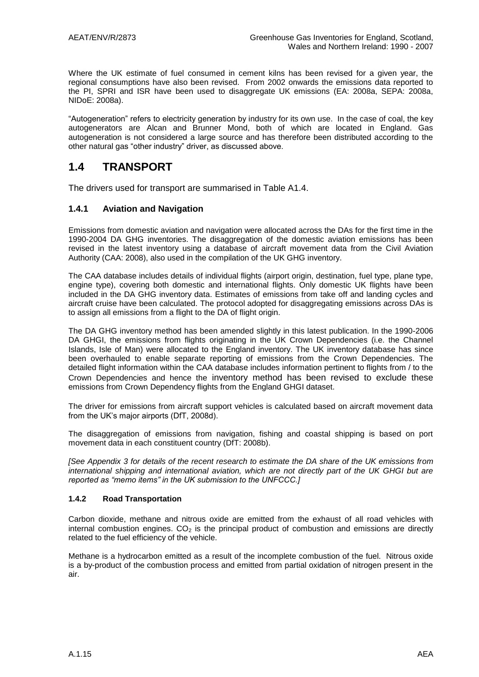Where the UK estimate of fuel consumed in cement kilns has been revised for a given year, the regional consumptions have also been revised. From 2002 onwards the emissions data reported to the PI, SPRI and ISR have been used to disaggregate UK emissions (EA: 2008a, SEPA: 2008a, NIDoE: 2008a).

"Autogeneration" refers to electricity generation by industry for its own use. In the case of coal, the key autogenerators are Alcan and Brunner Mond, both of which are located in England. Gas autogeneration is not considered a large source and has therefore been distributed according to the other natural gas "other industry" driver, as discussed above.

### **1.4 TRANSPORT**

The drivers used for transport are summarised in Table A1.4.

### **1.4.1 Aviation and Navigation**

Emissions from domestic aviation and navigation were allocated across the DAs for the first time in the 1990-2004 DA GHG inventories. The disaggregation of the domestic aviation emissions has been revised in the latest inventory using a database of aircraft movement data from the Civil Aviation Authority (CAA: 2008), also used in the compilation of the UK GHG inventory.

The CAA database includes details of individual flights (airport origin, destination, fuel type, plane type, engine type), covering both domestic and international flights. Only domestic UK flights have been included in the DA GHG inventory data. Estimates of emissions from take off and landing cycles and aircraft cruise have been calculated. The protocol adopted for disaggregating emissions across DAs is to assign all emissions from a flight to the DA of flight origin.

The DA GHG inventory method has been amended slightly in this latest publication. In the 1990-2006 DA GHGI, the emissions from flights originating in the UK Crown Dependencies (i.e. the Channel Islands, Isle of Man) were allocated to the England inventory. The UK inventory database has since been overhauled to enable separate reporting of emissions from the Crown Dependencies. The detailed flight information within the CAA database includes information pertinent to flights from / to the Crown Dependencies and hence the inventory method has been revised to exclude these emissions from Crown Dependency flights from the England GHGI dataset.

The driver for emissions from aircraft support vehicles is calculated based on aircraft movement data from the UK"s major airports (DfT, 2008d).

The disaggregation of emissions from navigation, fishing and coastal shipping is based on port movement data in each constituent country (DfT: 2008b).

*[See Appendix 3 for details of the recent research to estimate the DA share of the UK emissions from international shipping and international aviation, which are not directly part of the UK GHGI but are reported as "memo items" in the UK submission to the UNFCCC.]*

### **1.4.2 Road Transportation**

Carbon dioxide, methane and nitrous oxide are emitted from the exhaust of all road vehicles with internal combustion engines.  $CO<sub>2</sub>$  is the principal product of combustion and emissions are directly related to the fuel efficiency of the vehicle.

Methane is a hydrocarbon emitted as a result of the incomplete combustion of the fuel. Nitrous oxide is a by-product of the combustion process and emitted from partial oxidation of nitrogen present in the air.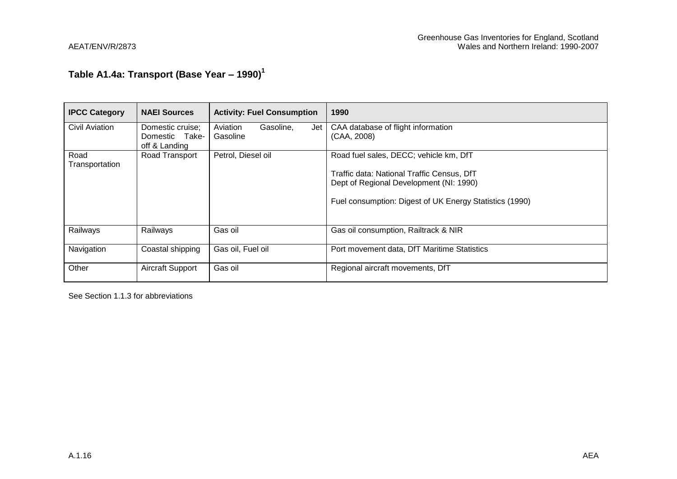# **Table A1.4a: Transport (Base Year – 1990)<sup>1</sup>**

| <b>IPCC Category</b>   | <b>NAEI Sources</b>             | <b>Activity: Fuel Consumption</b> | 1990                                                    |
|------------------------|---------------------------------|-----------------------------------|---------------------------------------------------------|
| <b>Civil Aviation</b>  | Domestic cruise;                | Aviation<br>Gasoline,<br>Jet      | CAA database of flight information                      |
|                        | Domestic Take-<br>off & Landing | Gasoline                          | (CAA, 2008)                                             |
| Road<br>Transportation | Road Transport                  | Petrol, Diesel oil                | Road fuel sales, DECC; vehicle km, DfT                  |
|                        |                                 |                                   | Traffic data: National Traffic Census, DfT              |
|                        |                                 |                                   | Dept of Regional Development (NI: 1990)                 |
|                        |                                 |                                   | Fuel consumption: Digest of UK Energy Statistics (1990) |
| Railways               | Railways                        | Gas oil                           | Gas oil consumption, Railtrack & NIR                    |
| Navigation             | Coastal shipping                | Gas oil, Fuel oil                 | Port movement data, DfT Maritime Statistics             |
| Other                  | Aircraft Support                | Gas oil                           | Regional aircraft movements, DfT                        |

See Section 1.1.3 for abbreviations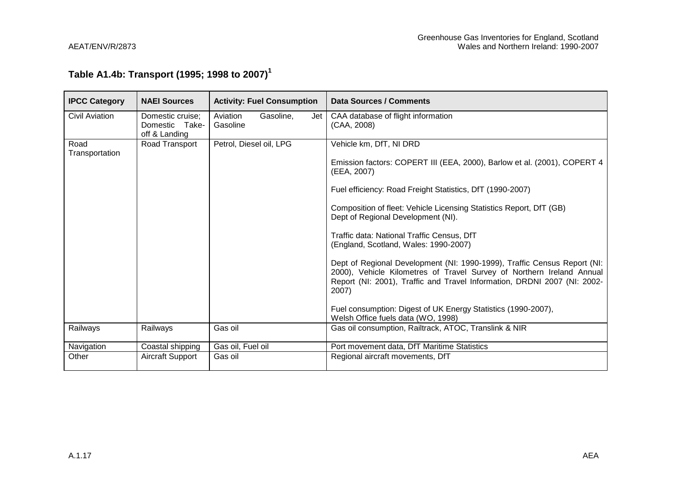### **Table A1.4b: Transport (1995; 1998 to 2007) 1**

| <b>IPCC Category</b>   | <b>NAEI Sources</b>                                 | <b>Activity: Fuel Consumption</b>        | <b>Data Sources / Comments</b>                                                                                                                                                                                                         |
|------------------------|-----------------------------------------------------|------------------------------------------|----------------------------------------------------------------------------------------------------------------------------------------------------------------------------------------------------------------------------------------|
| Civil Aviation         | Domestic cruise;<br>Domestic Take-<br>off & Landing | Aviation<br>Gasoline,<br>Jet<br>Gasoline | CAA database of flight information<br>(CAA, 2008)                                                                                                                                                                                      |
| Road<br>Transportation | Road Transport                                      | Petrol, Diesel oil, LPG                  | Vehicle km, DfT, NI DRD                                                                                                                                                                                                                |
|                        |                                                     |                                          | Emission factors: COPERT III (EEA, 2000), Barlow et al. (2001), COPERT 4<br>(EEA, 2007)                                                                                                                                                |
|                        |                                                     |                                          | Fuel efficiency: Road Freight Statistics, DfT (1990-2007)                                                                                                                                                                              |
|                        |                                                     |                                          | Composition of fleet: Vehicle Licensing Statistics Report, DfT (GB)<br>Dept of Regional Development (NI).                                                                                                                              |
|                        |                                                     |                                          | Traffic data: National Traffic Census, DfT<br>(England, Scotland, Wales: 1990-2007)                                                                                                                                                    |
|                        |                                                     |                                          | Dept of Regional Development (NI: 1990-1999), Traffic Census Report (NI:<br>2000), Vehicle Kilometres of Travel Survey of Northern Ireland Annual<br>Report (NI: 2001), Traffic and Travel Information, DRDNI 2007 (NI: 2002-<br>2007) |
|                        |                                                     |                                          | Fuel consumption: Digest of UK Energy Statistics (1990-2007),<br>Welsh Office fuels data (WO, 1998)                                                                                                                                    |
| Railways               | Railways                                            | Gas oil                                  | Gas oil consumption, Railtrack, ATOC, Translink & NIR                                                                                                                                                                                  |
| Navigation             | Coastal shipping                                    | Gas oil, Fuel oil                        | Port movement data, DfT Maritime Statistics                                                                                                                                                                                            |
| Other                  | Aircraft Support                                    | Gas oil                                  | Regional aircraft movements, DfT                                                                                                                                                                                                       |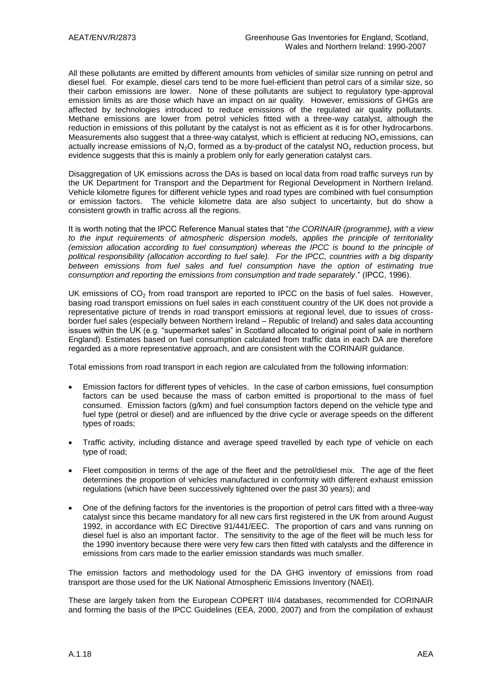All these pollutants are emitted by different amounts from vehicles of similar size running on petrol and diesel fuel. For example, diesel cars tend to be more fuel-efficient than petrol cars of a similar size, so their carbon emissions are lower. None of these pollutants are subject to regulatory type-approval emission limits as are those which have an impact on air quality. However, emissions of GHGs are affected by technologies introduced to reduce emissions of the regulated air quality pollutants. Methane emissions are lower from petrol vehicles fitted with a three-way catalyst, although the reduction in emissions of this pollutant by the catalyst is not as efficient as it is for other hydrocarbons. Measurements also suggest that a three-way catalyst, which is efficient at reducing  $NO<sub>x</sub>$  emissions, can actually increase emissions of  $N<sub>2</sub>O$ , formed as a by-product of the catalyst  $NO<sub>x</sub>$  reduction process, but evidence suggests that this is mainly a problem only for early generation catalyst cars.

Disaggregation of UK emissions across the DAs is based on local data from road traffic surveys run by the UK Department for Transport and the Department for Regional Development in Northern Ireland. Vehicle kilometre figures for different vehicle types and road types are combined with fuel consumption or emission factors. The vehicle kilometre data are also subject to uncertainty, but do show a consistent growth in traffic across all the regions.

It is worth noting that the IPCC Reference Manual states that "*the CORINAIR (programme), with a view to the input requirements of atmospheric dispersion models, applies the principle of territoriality (emission allocation according to fuel consumption) whereas the IPCC is bound to the principle of political responsibility (allocation according to fuel sale). For the IPCC, countries with a big disparity*  between emissions from fuel sales and fuel consumption have the option of estimating true *consumption and reporting the emissions from consumption and trade separately*." (IPCC, 1996).

UK emissions of  $CO<sub>2</sub>$  from road transport are reported to IPCC on the basis of fuel sales. However, basing road transport emissions on fuel sales in each constituent country of the UK does not provide a representative picture of trends in road transport emissions at regional level, due to issues of crossborder fuel sales (especially between Northern Ireland – Republic of Ireland) and sales data accounting issues within the UK (e.g. "supermarket sales" in Scotland allocated to original point of sale in northern England). Estimates based on fuel consumption calculated from traffic data in each DA are therefore regarded as a more representative approach, and are consistent with the CORINAIR guidance.

Total emissions from road transport in each region are calculated from the following information:

- Emission factors for different types of vehicles. In the case of carbon emissions, fuel consumption factors can be used because the mass of carbon emitted is proportional to the mass of fuel consumed. Emission factors (g/km) and fuel consumption factors depend on the vehicle type and fuel type (petrol or diesel) and are influenced by the drive cycle or average speeds on the different types of roads;
- Traffic activity, including distance and average speed travelled by each type of vehicle on each type of road;
- Fleet composition in terms of the age of the fleet and the petrol/diesel mix. The age of the fleet determines the proportion of vehicles manufactured in conformity with different exhaust emission regulations (which have been successively tightened over the past 30 years); and
- One of the defining factors for the inventories is the proportion of petrol cars fitted with a three-way catalyst since this became mandatory for all new cars first registered in the UK from around August 1992, in accordance with EC Directive 91/441/EEC. The proportion of cars and vans running on diesel fuel is also an important factor. The sensitivity to the age of the fleet will be much less for the 1990 inventory because there were very few cars then fitted with catalysts and the difference in emissions from cars made to the earlier emission standards was much smaller.

The emission factors and methodology used for the DA GHG inventory of emissions from road transport are those used for the UK National Atmospheric Emissions Inventory (NAEI).

These are largely taken from the European COPERT III/4 databases, recommended for CORINAIR and forming the basis of the IPCC Guidelines (EEA, 2000, 2007) and from the compilation of exhaust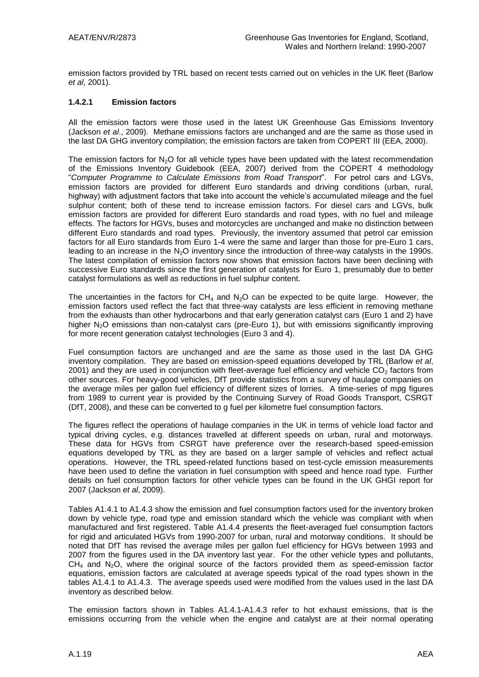emission factors provided by TRL based on recent tests carried out on vehicles in the UK fleet (Barlow *et al*, 2001).

### **1.4.2.1 Emission factors**

All the emission factors were those used in the latest UK Greenhouse Gas Emissions Inventory (Jackson *et al*., 2009). Methane emissions factors are unchanged and are the same as those used in the last DA GHG inventory compilation; the emission factors are taken from COPERT III (EEA, 2000).

The emission factors for N<sub>2</sub>O for all vehicle types have been updated with the latest recommendation of the Emissions Inventory Guidebook (EEA, 2007) derived from the COPERT 4 methodology "*Computer Programme to Calculate Emissions from Road Transport*". For petrol cars and LGVs, emission factors are provided for different Euro standards and driving conditions (urban, rural, highway) with adjustment factors that take into account the vehicle's accumulated mileage and the fuel sulphur content; both of these tend to increase emission factors. For diesel cars and LGVs, bulk emission factors are provided for different Euro standards and road types, with no fuel and mileage effects. The factors for HGVs, buses and motorcycles are unchanged and make no distinction between different Euro standards and road types. Previously, the inventory assumed that petrol car emission factors for all Euro standards from Euro 1-4 were the same and larger than those for pre-Euro 1 cars, leading to an increase in the N<sub>2</sub>O inventory since the introduction of three-way catalysts in the 1990s. The latest compilation of emission factors now shows that emission factors have been declining with successive Euro standards since the first generation of catalysts for Euro 1, presumably due to better catalyst formulations as well as reductions in fuel sulphur content.

The uncertainties in the factors for  $CH_4$  and  $N_2O$  can be expected to be quite large. However, the emission factors used reflect the fact that three-way catalysts are less efficient in removing methane from the exhausts than other hydrocarbons and that early generation catalyst cars (Euro 1 and 2) have higher N<sub>2</sub>O emissions than non-catalyst cars (pre-Euro 1), but with emissions significantly improving for more recent generation catalyst technologies (Euro 3 and 4).

Fuel consumption factors are unchanged and are the same as those used in the last DA GHG inventory compilation. They are based on emission-speed equations developed by TRL (Barlow *et al*, 2001) and they are used in conjunction with fleet-average fuel efficiency and vehicle  $CO<sub>2</sub>$  factors from other sources. For heavy-good vehicles, DfT provide statistics from a survey of haulage companies on the average miles per gallon fuel efficiency of different sizes of lorries. A time-series of mpg figures from 1989 to current year is provided by the Continuing Survey of Road Goods Transport, CSRGT (DfT, 2008), and these can be converted to g fuel per kilometre fuel consumption factors.

The figures reflect the operations of haulage companies in the UK in terms of vehicle load factor and typical driving cycles, e.g. distances travelled at different speeds on urban, rural and motorways. These data for HGVs from CSRGT have preference over the research-based speed-emission equations developed by TRL as they are based on a larger sample of vehicles and reflect actual operations. However, the TRL speed-related functions based on test-cycle emission measurements have been used to define the variation in fuel consumption with speed and hence road type. Further details on fuel consumption factors for other vehicle types can be found in the UK GHGI report for 2007 (Jackson *et al*, 2009).

Tables A1.4.1 to A1.4.3 show the emission and fuel consumption factors used for the inventory broken down by vehicle type, road type and emission standard which the vehicle was compliant with when manufactured and first registered. Table A1.4.4 presents the fleet-averaged fuel consumption factors for rigid and articulated HGVs from 1990-2007 for urban, rural and motorway conditions. It should be noted that DfT has revised the average miles per gallon fuel efficiency for HGVs between 1993 and 2007 from the figures used in the DA inventory last year. For the other vehicle types and pollutants,  $CH<sub>4</sub>$  and N<sub>2</sub>O, where the original source of the factors provided them as speed-emission factor equations, emission factors are calculated at average speeds typical of the road types shown in the tables A1.4.1 to A1.4.3. The average speeds used were modified from the values used in the last DA inventory as described below.

The emission factors shown in Tables A1.4.1-A1.4.3 refer to hot exhaust emissions, that is the emissions occurring from the vehicle when the engine and catalyst are at their normal operating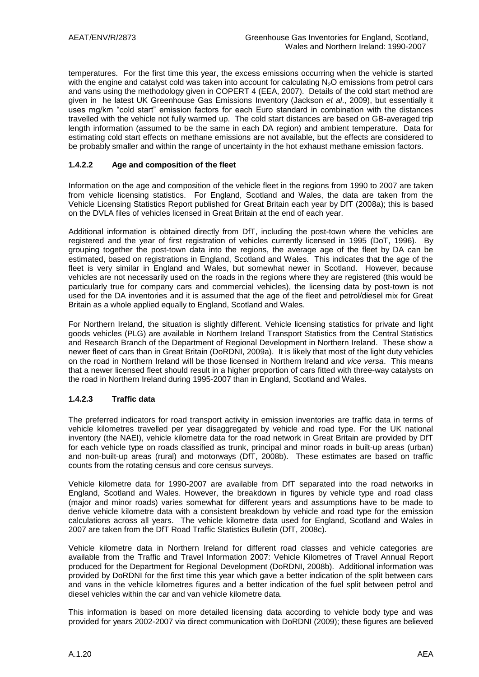temperatures. For the first time this year, the excess emissions occurring when the vehicle is started with the engine and catalyst cold was taken into account for calculating  $N_2O$  emissions from petrol cars and vans using the methodology given in COPERT 4 (EEA, 2007). Details of the cold start method are given in he latest UK Greenhouse Gas Emissions Inventory (Jackson *et al*., 2009), but essentially it uses mg/km "cold start" emission factors for each Euro standard in combination with the distances travelled with the vehicle not fully warmed up. The cold start distances are based on GB-averaged trip length information (assumed to be the same in each DA region) and ambient temperature. Data for estimating cold start effects on methane emissions are not available, but the effects are considered to be probably smaller and within the range of uncertainty in the hot exhaust methane emission factors.

### **1.4.2.2 Age and composition of the fleet**

Information on the age and composition of the vehicle fleet in the regions from 1990 to 2007 are taken from vehicle licensing statistics. For England, Scotland and Wales, the data are taken from the Vehicle Licensing Statistics Report published for Great Britain each year by DfT (2008a); this is based on the DVLA files of vehicles licensed in Great Britain at the end of each year.

Additional information is obtained directly from DfT, including the post-town where the vehicles are registered and the year of first registration of vehicles currently licensed in 1995 (DoT, 1996). By grouping together the post-town data into the regions, the average age of the fleet by DA can be estimated, based on registrations in England, Scotland and Wales. This indicates that the age of the fleet is very similar in England and Wales, but somewhat newer in Scotland. However, because vehicles are not necessarily used on the roads in the regions where they are registered (this would be particularly true for company cars and commercial vehicles), the licensing data by post-town is not used for the DA inventories and it is assumed that the age of the fleet and petrol/diesel mix for Great Britain as a whole applied equally to England, Scotland and Wales.

For Northern Ireland, the situation is slightly different. Vehicle licensing statistics for private and light goods vehicles (PLG) are available in Northern Ireland Transport Statistics from the Central Statistics and Research Branch of the Department of Regional Development in Northern Ireland. These show a newer fleet of cars than in Great Britain (DoRDNI, 2009a). It is likely that most of the light duty vehicles on the road in Northern Ireland will be those licensed in Northern Ireland and *vice versa*. This means that a newer licensed fleet should result in a higher proportion of cars fitted with three-way catalysts on the road in Northern Ireland during 1995-2007 than in England, Scotland and Wales.

### **1.4.2.3 Traffic data**

The preferred indicators for road transport activity in emission inventories are traffic data in terms of vehicle kilometres travelled per year disaggregated by vehicle and road type. For the UK national inventory (the NAEI), vehicle kilometre data for the road network in Great Britain are provided by DfT for each vehicle type on roads classified as trunk, principal and minor roads in built-up areas (urban) and non-built-up areas (rural) and motorways (DfT, 2008b). These estimates are based on traffic counts from the rotating census and core census surveys.

Vehicle kilometre data for 1990-2007 are available from DfT separated into the road networks in England, Scotland and Wales. However, the breakdown in figures by vehicle type and road class (major and minor roads) varies somewhat for different years and assumptions have to be made to derive vehicle kilometre data with a consistent breakdown by vehicle and road type for the emission calculations across all years. The vehicle kilometre data used for England, Scotland and Wales in 2007 are taken from the DfT Road Traffic Statistics Bulletin (DfT, 2008c).

Vehicle kilometre data in Northern Ireland for different road classes and vehicle categories are available from the Traffic and Travel Information 2007: Vehicle Kilometres of Travel Annual Report produced for the Department for Regional Development (DoRDNI, 2008b). Additional information was provided by DoRDNI for the first time this year which gave a better indication of the split between cars and vans in the vehicle kilometres figures and a better indication of the fuel split between petrol and diesel vehicles within the car and van vehicle kilometre data.

This information is based on more detailed licensing data according to vehicle body type and was provided for years 2002-2007 via direct communication with DoRDNI (2009); these figures are believed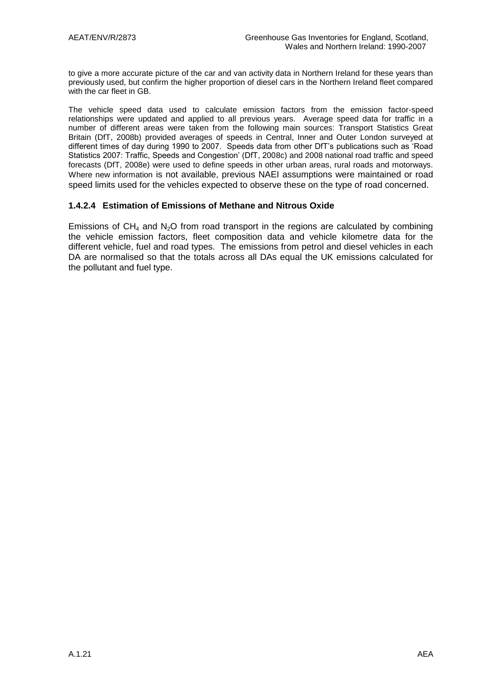to give a more accurate picture of the car and van activity data in Northern Ireland for these years than previously used, but confirm the higher proportion of diesel cars in the Northern Ireland fleet compared with the car fleet in GB.

The vehicle speed data used to calculate emission factors from the emission factor-speed relationships were updated and applied to all previous years. Average speed data for traffic in a number of different areas were taken from the following main sources: Transport Statistics Great Britain (DfT, 2008b) provided averages of speeds in Central, Inner and Outer London surveyed at different times of day during 1990 to 2007. Speeds data from other DfT"s publications such as "Road Statistics 2007: Traffic, Speeds and Congestion" (DfT, 2008c) and 2008 national road traffic and speed forecasts (DfT, 2008e) were used to define speeds in other urban areas, rural roads and motorways. Where new information is not available, previous NAEI assumptions were maintained or road speed limits used for the vehicles expected to observe these on the type of road concerned.

### **1.4.2.4 Estimation of Emissions of Methane and Nitrous Oxide**

Emissions of  $CH_4$  and  $N_2O$  from road transport in the regions are calculated by combining the vehicle emission factors, fleet composition data and vehicle kilometre data for the different vehicle, fuel and road types. The emissions from petrol and diesel vehicles in each DA are normalised so that the totals across all DAs equal the UK emissions calculated for the pollutant and fuel type.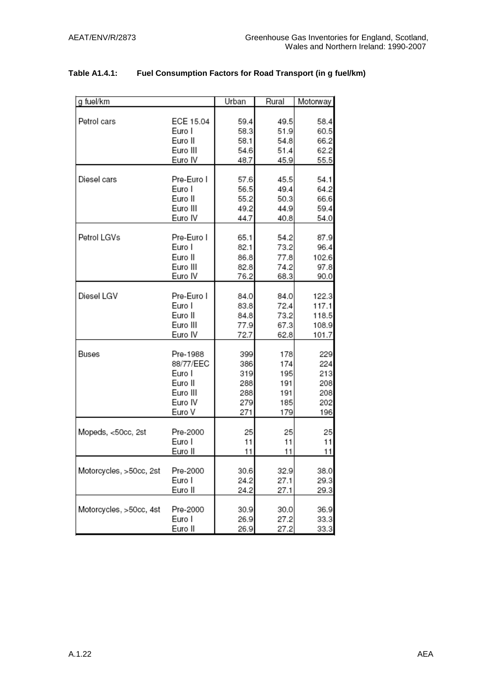| g fuel/km               |                     | Urban        | Rural        | Motorway      |
|-------------------------|---------------------|--------------|--------------|---------------|
| Petrol cars             | ECE 15.04<br>Euro I | 59.4<br>58.3 | 49.5<br>51.9 | 58.4<br>60.5  |
|                         | Euro II             | 58.1         | 54.8         | 66.2          |
|                         | Euro III            | 54.6         | 51.4         | 62.2          |
|                         | Euro IV             | 48.7         | 45.9         | 55.5          |
| Diesel cars             | Pre-Euro I          | 57.6         | 45.5         | 54.1          |
|                         | Euro I              | 56.5         | 49.4         | 64.2          |
|                         | Euro II             | 55.2         | 50.3         | 66.6          |
|                         | Euro III            | 49.2         | 44.9         | 59.4          |
|                         | Euro IV             | 44.7         | 40.8         | 54.0          |
| Petrol LGVs             | Pre-Euro I          |              |              |               |
|                         | Euro I              | 65.1         | 54.2         | 87.9          |
|                         |                     | 82.1         | 73.2         | 96.4          |
|                         | Euro II<br>Euro III | 86.8<br>82.8 | 77.8         | 102.6<br>97.8 |
|                         | Euro IV             | 76.2         | 74.2<br>68.3 | 90.0          |
|                         |                     |              |              |               |
| Diesel LGV              | Pre-Euro I          | 84.0         | 84.0         | 122.3         |
|                         | Euro I              | 83.8         | 72.4         | 117.1         |
|                         | Euro II             | 84.8         | 73.2         | 118.5         |
|                         | Euro III            | 77.9         | 67.3         | 108.9         |
|                         | Euro IV             | 72.7         | 62.8         | 101.7         |
| Buses                   | Pre-1988            | 399          | 178          | 229           |
|                         | 88/77/EEC           | 386          | 174          | 224           |
|                         | Euro I              | 319          | 195          | 213           |
|                         | Euro II             | 288          | 191          | 208           |
|                         | Euro III            | 288          | 191          | 208           |
|                         | Euro IV             | 279          | 185          | 202           |
|                         | Euro V              | 271          | 179          | 196           |
|                         |                     |              |              |               |
| Mopeds, <50cc, 2st      | Pre-2000            | 25           | 25           | 25            |
|                         | Euro I<br>Euro II   | 11<br>11     | 11<br>11     | 11<br>11      |
|                         |                     |              |              |               |
| Motorcycles, >50cc, 2st | Pre-2000            | 30.6         | 32.9         | 38.0          |
|                         | Euro I              | 24.2         | 27.1         | 29.3          |
|                         | Euro II             | 24.2         | 27.1         | 29.3          |
|                         |                     |              |              |               |
| Motorcycles, >50cc, 4st | Pre-2000            | 30.9         | 30.0         | 36.9          |
|                         | Euro I              | 26.9         | 27.2         | 33.3          |
|                         | Euro II             | 26.9         | 27.2         | 33.3          |

### **Table A1.4.1: Fuel Consumption Factors for Road Transport (in g fuel/km)**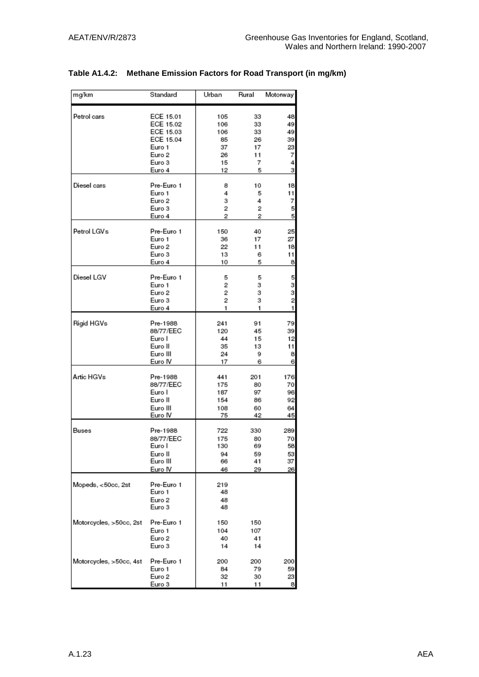| mg/km                   | Standard               | Urban      | Rural    | Motorway       |
|-------------------------|------------------------|------------|----------|----------------|
|                         |                        |            |          |                |
| Petrol cars             | ECE 15.01<br>ECE 15.02 | 105        | 33       | 48             |
|                         | ECE 15.03              | 106<br>106 | 33<br>33 | 49<br>49       |
|                         | ECE 15.04              | 85         | 26       | 39             |
|                         | Euro 1                 | 37         | 17       | 23             |
|                         | Euro 2                 | 26         | 11       | 7              |
|                         | Euro 3                 | 15         | 7        | 4              |
|                         | Euro 4                 | 12         | 5        | з              |
| Diesel cars             | Pre-Euro 1             | 8          | 10       | 18             |
|                         | Euro 1                 | 4          | 5        | 11             |
|                         | Euro 2                 | 3          | 4        | 7              |
|                         | Euro 3                 | 2          | 2        | 5              |
|                         | Euro 4                 | 2          | 2        | 5              |
| Petrol LGVs             | Pre-Euro 1             | 150        | 40       | 25             |
|                         | Euro 1                 | 36         | 17       | 27             |
|                         | Euro 2                 | 22         | 11       | 18             |
|                         | Euro 3                 | 13         | 6        | 11             |
|                         | Euro 4                 | 10         | 5        | 8              |
| Diesel LGV              | Pre-Euro 1             | 5          | 5        | 5              |
|                         | Euro 1                 | 2          | з        | з              |
|                         | Euro 2                 | 2          | з        | 3              |
|                         | Euro 3                 | 2          | з        | $\overline{c}$ |
|                         | Euro 4                 | 1          | 1        | 1              |
| Rigid HGVs              | Pre-1988               | 241        | 91       | 79             |
|                         | 88/77/EEC              | 120        | 45       | 39             |
|                         | Euro I                 | 44         | 15       | 12             |
|                         | Euro II                | 35         | 13       | 11             |
|                         | Euro III<br>Euro IV    | 24<br>17   | 9<br>6   | 8<br>6         |
|                         |                        |            |          |                |
| Artic HGVs              | Pre-1988               | 441        | 201      | 176            |
|                         | 88/77/EEC              | 175        | 80       | 70             |
|                         | Euro I<br>Euro II      | 187<br>154 | 97<br>86 | 96             |
|                         | Euro III               | 108        | 60       | 92<br>64       |
|                         | Euro IV                | 75         | 42       | 45             |
| Buses                   | Pre-1988               | 722        | 330      | 289            |
|                         | 88/77/EEC              | 175        | 80       | 70             |
|                         | Euro I                 | 130        | 69       | 58             |
|                         | Euro II                | 94         | 59       | 53             |
|                         | Euro III               | 66         | 41       | 37             |
|                         | Euro IV                | 46         | 29       | 26             |
| Mopeds, <50cc, 2st      | Pre-Euro 1             | 219        |          |                |
|                         | Euro 1                 | 48         |          |                |
|                         | Euro 2                 | 48         |          |                |
|                         | Euro 3                 | 48         |          |                |
| Motorcycles, >50cc, 2st | Pre-Euro 1             | 150        | 150      |                |
|                         | Euro 1                 | 104        | 107      |                |
|                         | Euro 2                 | 40         | 41       |                |
|                         | Euro 3                 | 14         | 14       |                |
| Motorcycles, >50cc, 4st | Pre-Euro 1             | 200        | 200      | 200            |
|                         | Euro 1                 | 84         | 79       | 59             |
|                         | Euro 2                 | 32         | 30       | 23             |
|                         | Euro 3                 | 11         | 11       | 8              |

### **Table A1.4.2: Methane Emission Factors for Road Transport (in mg/km)**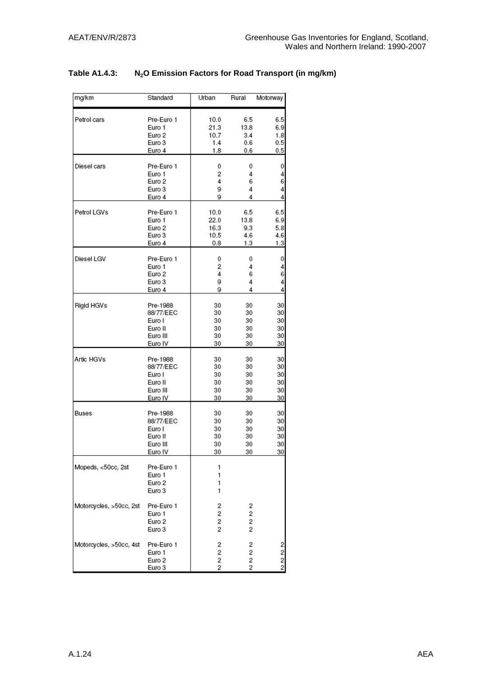### **Table A1.4.3: N2O Emission Factors for Road Transport (in mg/km)**

| mg/km                   | Standard                                 | Urban            | Rural            | Motorway         |
|-------------------------|------------------------------------------|------------------|------------------|------------------|
| Petrol cars             | Pre-Euro 1                               | 10.0             | 6.5              | 6.5              |
|                         | Euro 1                                   | 21.3             | 13.8             | 6.9              |
|                         | Euro 2                                   | 10.7             | 3.4              | 1.8              |
|                         | Euro 3                                   | 1.4              | 0.6              | 0.5              |
|                         | Euro 4                                   | 1.8              | 0.6              | 0.5              |
| Diesel cars             | Pre-Euro 1                               | 0                | 0                | 0                |
|                         | Euro 1                                   | 2                | 4                | 4                |
|                         | Euro 2                                   | 4                | 6                | 6                |
|                         | Euro 3                                   | 9                | 4                | 4                |
|                         | Euro 4                                   | 9                | 4                | 4                |
| Petrol LGVs             | Pre-Euro 1                               | 10.0             | 6.5              | 6.5              |
|                         | Euro 1                                   | 22.0             | 13.8             | 6.9              |
|                         | Euro 2                                   | 16.3             | 9.3              | 5.8              |
|                         | Euro 3                                   | 10.5             | 4.6              | 4.6              |
|                         | Euro 4                                   | 0.8              | 1.3              | 1.3              |
| Diesel LGV              | Pre-Euro 1                               | 0                | 0                | 0                |
|                         | Euro 1                                   | 2                | 4                | 4                |
|                         | Euro 2                                   | 4                | 6                | 6                |
|                         | Euro 3                                   | 9                | 4                | 4                |
|                         | Euro 4                                   | 9                | 4                | 4                |
| Rigid HGVs              | Pre-1988                                 | 30               | 30               | 30               |
|                         | 88/77/EEC                                | 30               | 30               | 30               |
|                         | Euro I                                   | 30               | 30               | 30               |
|                         | Euro II                                  | 30               | 30               | 30               |
|                         | Euro III                                 | 30               | 30               | 30               |
|                         | Euro IV                                  | 30               | 30               | 30               |
| Artic HGVs              | Pre-1988                                 | 30               | 30               | 30               |
|                         | 88/77/EEC                                | 30               | 30               | 30               |
|                         | Euro I                                   | 30               | 30               | 30               |
|                         | Euro II                                  | 30               | 30               | 30               |
|                         | Euro III                                 | 30               | 30               | 30               |
|                         | Euro IV                                  | 30               | 30               | 30               |
| Buses                   | Pre-1988                                 | 30               | 30               | 30               |
|                         | 88/77/EEC                                | 30               | 30               | 30               |
|                         | Euro I                                   | 30               | 30               | 30               |
|                         | Euro II                                  | 30               | 30               | 30               |
|                         | Euro III                                 | 30               | 30               | 30               |
|                         | Euro IV                                  | 30               | 30               | 30               |
| Mopeds, <50cc, 2st      | Pre-Euro 1<br>Euro 1<br>Euro 2<br>Euro 3 | 1<br>1<br>1<br>1 |                  |                  |
| Motorcycles, >50cc, 2st | Pre-Euro 1<br>Euro 1<br>Euro 2<br>Euro 3 | 2<br>2<br>2<br>2 | 2<br>2<br>2<br>2 |                  |
| Motorcycles, >50cc, 4st | Pre-Euro 1<br>Euro 1<br>Euro 2<br>Euro 3 | 2<br>2<br>2<br>2 | 2<br>2<br>2<br>2 | 2<br>2<br>2<br>2 |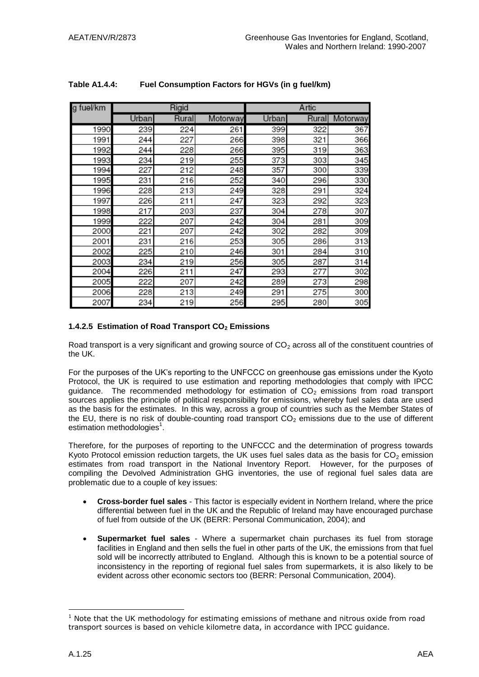| g fuel/km |              | Rigid  |          |       | Artic |          |
|-----------|--------------|--------|----------|-------|-------|----------|
|           | <b>Urban</b> | Rurall | Motorway | Urban | Rural | Motorway |
| 1990      | 239          | 224    | 261      | 399   | 322   | 367      |
| 1991      | 244          | 227    | 266      | 398   | 321   | 366      |
| 1992      | 244          | 228    | 266      | 395   | 319   | 363      |
| 1993      | 234          | 219    | 255      | 373   | 303   | 345      |
| 1994      | 227          | 212    | 248      | 357   | 300   | 339      |
| 1995      | 231          | 216    | 252      | 340   | 296   | 330      |
| 1996      | 228          | 213    | 249      | 328   | 291   | 324      |
| 1997      | 226          | 211    | 247      | 323   | 292   | 323      |
| 1998      | 217          | 203    | 237      | 304   | 278   | 307      |
| 1999      | 222          | 207    | 242      | 304   | 281   | 309      |
| 2000      | 221          | 207    | 242      | 302   | 282   | 309      |
| 2001      | 231          | 216    | 253      | 305   | 286   | 313      |
| 2002      | 225          | 210    | 246      | 301   | 284   | 310      |
| 2003      | 234          | 219    | 256      | 305   | 287   | 314      |
| 2004      | 226          | 211    | 247      | 293   | 277   | 302      |
| 2005      | 222          | 207    | 242      | 289   | 273   | 298      |
| 2006      | 228          | 213    | 249      | 291   | 275   | 300      |
| 2007      | 234          | 219    | 256      | 295   | 280   | 305      |

### **Table A1.4.4: Fuel Consumption Factors for HGVs (in g fuel/km)**

### **1.4.2.5 Estimation of Road Transport CO<sup>2</sup> Emissions**

Road transport is a very significant and growing source of  $CO<sub>2</sub>$  across all of the constituent countries of the UK.

For the purposes of the UK"s reporting to the UNFCCC on greenhouse gas emissions under the Kyoto Protocol, the UK is required to use estimation and reporting methodologies that comply with IPCC guidance. The recommended methodology for estimation of  $CO<sub>2</sub>$  emissions from road transport sources applies the principle of political responsibility for emissions, whereby fuel sales data are used as the basis for the estimates. In this way, across a group of countries such as the Member States of the EU, there is no risk of double-counting road transport  $CO<sub>2</sub>$  emissions due to the use of different estimation methodologies<sup>1</sup>.

Therefore, for the purposes of reporting to the UNFCCC and the determination of progress towards Kyoto Protocol emission reduction targets, the UK uses fuel sales data as the basis for  $CO<sub>2</sub>$  emission estimates from road transport in the National Inventory Report. However, for the purposes of compiling the Devolved Administration GHG inventories, the use of regional fuel sales data are problematic due to a couple of key issues:

- **Cross-border fuel sales** This factor is especially evident in Northern Ireland, where the price differential between fuel in the UK and the Republic of Ireland may have encouraged purchase of fuel from outside of the UK (BERR: Personal Communication, 2004); and
- **Supermarket fuel sales** Where a supermarket chain purchases its fuel from storage facilities in England and then sells the fuel in other parts of the UK, the emissions from that fuel sold will be incorrectly attributed to England. Although this is known to be a potential source of inconsistency in the reporting of regional fuel sales from supermarkets, it is also likely to be evident across other economic sectors too (BERR: Personal Communication, 2004).

<u>.</u>

 $1$  Note that the UK methodology for estimating emissions of methane and nitrous oxide from road transport sources is based on vehicle kilometre data, in accordance with IPCC guidance.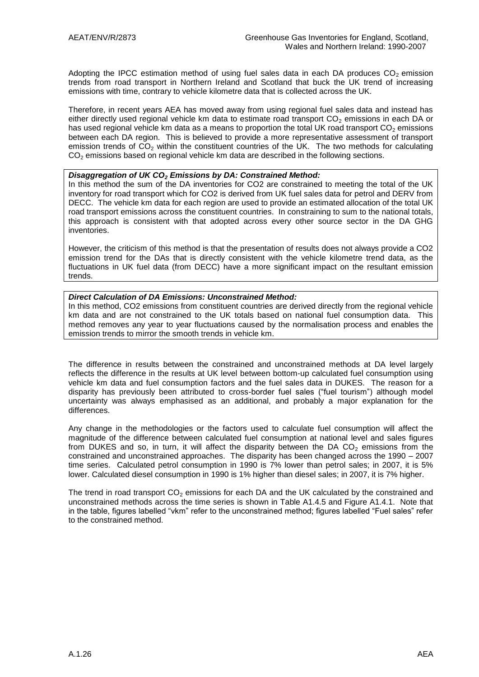Adopting the IPCC estimation method of using fuel sales data in each DA produces  $CO<sub>2</sub>$  emission trends from road transport in Northern Ireland and Scotland that buck the UK trend of increasing emissions with time, contrary to vehicle kilometre data that is collected across the UK.

Therefore, in recent years AEA has moved away from using regional fuel sales data and instead has either directly used regional vehicle km data to estimate road transport  $CO<sub>2</sub>$  emissions in each DA or has used regional vehicle km data as a means to proportion the total UK road transport  $CO<sub>2</sub>$  emissions between each DA region. This is believed to provide a more representative assessment of transport emission trends of  $CO<sub>2</sub>$  within the constituent countries of the UK. The two methods for calculating  $CO<sub>2</sub>$  emissions based on regional vehicle km data are described in the following sections.

### *Disaggregation of UK CO<sup>2</sup> Emissions by DA: Constrained Method:*

In this method the sum of the DA inventories for CO2 are constrained to meeting the total of the UK inventory for road transport which for CO2 is derived from UK fuel sales data for petrol and DERV from DECC. The vehicle km data for each region are used to provide an estimated allocation of the total UK road transport emissions across the constituent countries. In constraining to sum to the national totals, this approach is consistent with that adopted across every other source sector in the DA GHG inventories.

However, the criticism of this method is that the presentation of results does not always provide a CO2 emission trend for the DAs that is directly consistent with the vehicle kilometre trend data, as the fluctuations in UK fuel data (from DECC) have a more significant impact on the resultant emission trends.

#### *Direct Calculation of DA Emissions: Unconstrained Method:*

In this method, CO2 emissions from constituent countries are derived directly from the regional vehicle km data and are not constrained to the UK totals based on national fuel consumption data. This method removes any year to year fluctuations caused by the normalisation process and enables the emission trends to mirror the smooth trends in vehicle km.

The difference in results between the constrained and unconstrained methods at DA level largely reflects the difference in the results at UK level between bottom-up calculated fuel consumption using vehicle km data and fuel consumption factors and the fuel sales data in DUKES. The reason for a disparity has previously been attributed to cross-border fuel sales ("fuel tourism") although model uncertainty was always emphasised as an additional, and probably a major explanation for the differences.

Any change in the methodologies or the factors used to calculate fuel consumption will affect the magnitude of the difference between calculated fuel consumption at national level and sales figures from DUKES and so, in turn, it will affect the disparity between the DA  $CO<sub>2</sub>$  emissions from the constrained and unconstrained approaches. The disparity has been changed across the 1990 – 2007 time series. Calculated petrol consumption in 1990 is 7% lower than petrol sales; in 2007, it is 5% lower. Calculated diesel consumption in 1990 is 1% higher than diesel sales; in 2007, it is 7% higher.

The trend in road transport  $CO<sub>2</sub>$  emissions for each DA and the UK calculated by the constrained and unconstrained methods across the time series is shown in Table A1.4.5 and Figure A1.4.1. Note that in the table, figures labelled "vkm" refer to the unconstrained method; figures labelled "Fuel sales" refer to the constrained method.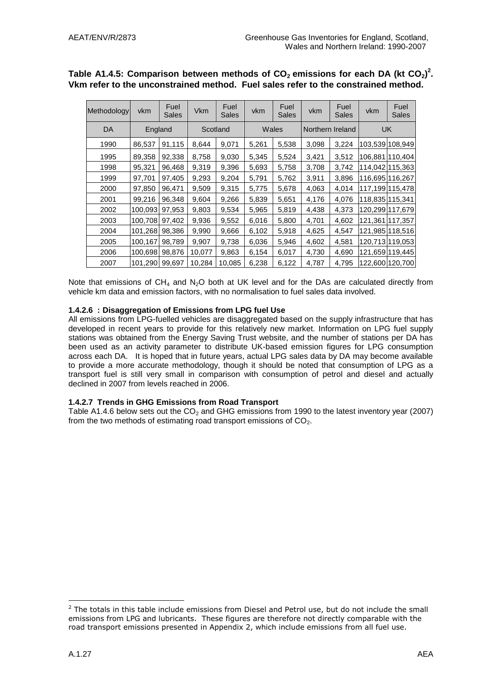| Methodology | vkm     | Fuel<br>Sales | <b>Vkm</b> | Fuel<br>Sales | vkm   | Fuel<br>Sales | vkm              | Fuel<br>Sales | vkm             | Fuel<br>Sales   |
|-------------|---------|---------------|------------|---------------|-------|---------------|------------------|---------------|-----------------|-----------------|
| DA          | England |               |            | Scotland      |       | Wales         | Northern Ireland |               |                 | <b>UK</b>       |
| 1990        | 86,537  | 91,115        | 8,644      | 9,071         | 5,261 | 5,538         | 3,098            | 3,224         |                 | 103,539 108,949 |
| 1995        | 89,358  | 92,338        | 8,758      | 9,030         | 5,345 | 5,524         | 3,421            | 3,512         |                 | 106,881 110,404 |
| 1998        | 95,321  | 96,468        | 9,319      | 9,396         | 5,693 | 5,758         | 3,708            | 3,742         | 114,042 115,363 |                 |
| 1999        | 97,701  | 97,405        | 9,293      | 9,204         | 5,791 | 5,762         | 3,911            | 3,896         | 116,695 116,267 |                 |
| 2000        | 97,850  | 96,471        | 9,509      | 9,315         | 5,775 | 5,678         | 4,063            | 4,014         |                 | 117,199 115,478 |
| 2001        | 99,216  | 96,348        | 9,604      | 9,266         | 5,839 | 5,651         | 4,176            | 4,076         | 118,835 115,341 |                 |
| 2002        | 100,093 | 97,953        | 9,803      | 9,534         | 5,965 | 5,819         | 4,438            | 4,373         |                 | 120,299 117,679 |
| 2003        | 100,708 | 97,402        | 9,936      | 9,552         | 6,016 | 5,800         | 4,701            | 4,602         | 121,361 117,357 |                 |
| 2004        | 101,268 | 98,386        | 9,990      | 9,666         | 6,102 | 5,918         | 4,625            | 4,547         |                 | 121,985 118,516 |
| 2005        | 100,167 | 98,789        | 9,907      | 9,738         | 6,036 | 5,946         | 4,602            | 4,581         |                 | 120,713 119,053 |
| 2006        | 100,698 | 98,876        | 10,077     | 9,863         | 6,154 | 6,017         | 4,730            | 4,690         |                 | 121,659 119,445 |
| 2007        | 101,290 | 99.697        | 10,284     | 10,085        | 6,238 | 6,122         | 4,787            | 4,795         |                 | 122,600 120,700 |

### Table A1.4.5: Comparison between methods of CO<sub>2</sub> emissions for each DA (kt CO<sub>2</sub>)<sup>2</sup>. **Vkm refer to the unconstrained method. Fuel sales refer to the constrained method.**

Note that emissions of  $CH_4$  and N<sub>2</sub>O both at UK level and for the DAs are calculated directly from vehicle km data and emission factors, with no normalisation to fuel sales data involved.

### **1.4.2.6 : Disaggregation of Emissions from LPG fuel Use**

All emissions from LPG-fuelled vehicles are disaggregated based on the supply infrastructure that has developed in recent years to provide for this relatively new market. Information on LPG fuel supply stations was obtained from the Energy Saving Trust website, and the number of stations per DA has been used as an activity parameter to distribute UK-based emission figures for LPG consumption across each DA. It is hoped that in future years, actual LPG sales data by DA may become available to provide a more accurate methodology, though it should be noted that consumption of LPG as a transport fuel is still very small in comparison with consumption of petrol and diesel and actually declined in 2007 from levels reached in 2006.

### **1.4.2.7 Trends in GHG Emissions from Road Transport**

Table A1.4.6 below sets out the  $CO<sub>2</sub>$  and GHG emissions from 1990 to the latest inventory year (2007) from the two methods of estimating road transport emissions of  $CO<sub>2</sub>$ .

<u>.</u>

 $<sup>2</sup>$  The totals in this table include emissions from Diesel and Petrol use, but do not include the small</sup> emissions from LPG and lubricants. These figures are therefore not directly comparable with the road transport emissions presented in Appendix 2, which include emissions from all fuel use.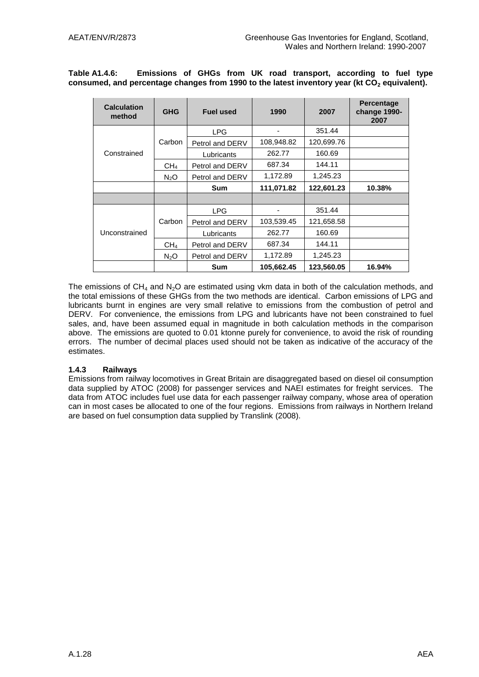**Table A1.4.6: Emissions of GHGs from UK road transport, according to fuel type consumed, and percentage changes from 1990 to the latest inventory year (kt CO<sup>2</sup> equivalent).**

| <b>Calculation</b><br>method | <b>GHG</b>       | <b>Fuel used</b> | 1990       | 2007       | <b>Percentage</b><br>change 1990-<br>2007 |
|------------------------------|------------------|------------------|------------|------------|-------------------------------------------|
|                              |                  | <b>LPG</b>       | ٠          | 351.44     |                                           |
|                              | Carbon           | Petrol and DERV  | 108,948.82 | 120,699.76 |                                           |
| Constrained                  |                  | Lubricants       | 262.77     | 160.69     |                                           |
|                              | CH <sub>4</sub>  | Petrol and DERV  | 687.34     | 144.11     |                                           |
|                              | $N_2O$           | Petrol and DERV  | 1,172.89   | 1,245.23   |                                           |
|                              |                  | Sum              | 111,071.82 | 122,601.23 | 10.38%                                    |
|                              |                  |                  |            |            |                                           |
|                              |                  | <b>LPG</b>       |            | 351.44     |                                           |
|                              | Carbon           | Petrol and DERV  | 103,539.45 | 121,658.58 |                                           |
| Unconstrained                |                  | Lubricants       | 262.77     | 160.69     |                                           |
|                              | CH <sub>4</sub>  | Petrol and DERV  | 687.34     | 144.11     |                                           |
|                              | N <sub>2</sub> O | Petrol and DERV  | 1,172.89   | 1,245.23   |                                           |
|                              |                  | Sum              | 105,662.45 | 123,560.05 | 16.94%                                    |

The emissions of  $CH_4$  and N<sub>2</sub>O are estimated using vkm data in both of the calculation methods, and the total emissions of these GHGs from the two methods are identical. Carbon emissions of LPG and lubricants burnt in engines are very small relative to emissions from the combustion of petrol and DERV. For convenience, the emissions from LPG and lubricants have not been constrained to fuel sales, and, have been assumed equal in magnitude in both calculation methods in the comparison above. The emissions are quoted to 0.01 ktonne purely for convenience, to avoid the risk of rounding errors. The number of decimal places used should not be taken as indicative of the accuracy of the estimates.

#### **1.4.3 Railways**

Emissions from railway locomotives in Great Britain are disaggregated based on diesel oil consumption data supplied by ATOC (2008) for passenger services and NAEI estimates for freight services. The data from ATOC includes fuel use data for each passenger railway company, whose area of operation can in most cases be allocated to one of the four regions. Emissions from railways in Northern Ireland are based on fuel consumption data supplied by Translink (2008).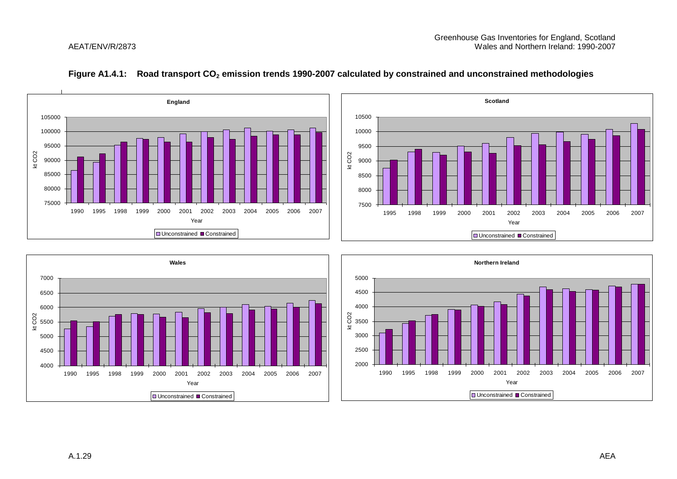





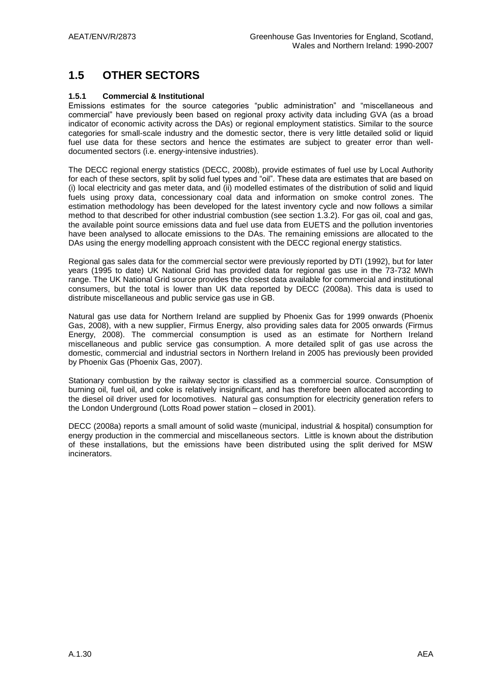# **1.5 OTHER SECTORS**

### **1.5.1 Commercial & Institutional**

Emissions estimates for the source categories "public administration" and "miscellaneous and commercial" have previously been based on regional proxy activity data including GVA (as a broad indicator of economic activity across the DAs) or regional employment statistics. Similar to the source categories for small-scale industry and the domestic sector, there is very little detailed solid or liquid fuel use data for these sectors and hence the estimates are subject to greater error than welldocumented sectors (i.e. energy-intensive industries).

The DECC regional energy statistics (DECC, 2008b), provide estimates of fuel use by Local Authority for each of these sectors, split by solid fuel types and "oil". These data are estimates that are based on (i) local electricity and gas meter data, and (ii) modelled estimates of the distribution of solid and liquid fuels using proxy data, concessionary coal data and information on smoke control zones. The estimation methodology has been developed for the latest inventory cycle and now follows a similar method to that described for other industrial combustion (see section 1.3.2). For gas oil, coal and gas, the available point source emissions data and fuel use data from EUETS and the pollution inventories have been analysed to allocate emissions to the DAs. The remaining emissions are allocated to the DAs using the energy modelling approach consistent with the DECC regional energy statistics.

Regional gas sales data for the commercial sector were previously reported by DTI (1992), but for later years (1995 to date) UK National Grid has provided data for regional gas use in the 73-732 MWh range. The UK National Grid source provides the closest data available for commercial and institutional consumers, but the total is lower than UK data reported by DECC (2008a). This data is used to distribute miscellaneous and public service gas use in GB.

Natural gas use data for Northern Ireland are supplied by Phoenix Gas for 1999 onwards (Phoenix Gas, 2008), with a new supplier, Firmus Energy, also providing sales data for 2005 onwards (Firmus Energy, 2008). The commercial consumption is used as an estimate for Northern Ireland miscellaneous and public service gas consumption. A more detailed split of gas use across the domestic, commercial and industrial sectors in Northern Ireland in 2005 has previously been provided by Phoenix Gas (Phoenix Gas, 2007).

Stationary combustion by the railway sector is classified as a commercial source. Consumption of burning oil, fuel oil, and coke is relatively insignificant, and has therefore been allocated according to the diesel oil driver used for locomotives. Natural gas consumption for electricity generation refers to the London Underground (Lotts Road power station – closed in 2001).

DECC (2008a) reports a small amount of solid waste (municipal, industrial & hospital) consumption for energy production in the commercial and miscellaneous sectors. Little is known about the distribution of these installations, but the emissions have been distributed using the split derived for MSW incinerators.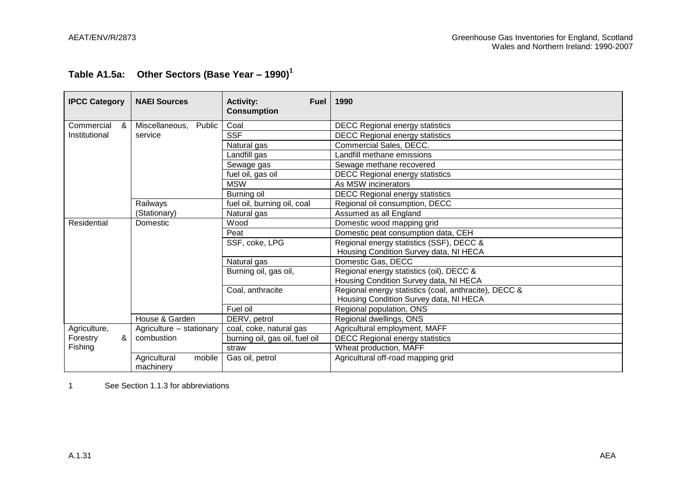# **Table A1.5a: Other Sectors (Base Year – 1990)<sup>1</sup>**

| <b>IPCC Category</b> | <b>NAEI Sources</b>                 | <b>Activity:</b><br><b>Fuel</b><br><b>Consumption</b> | 1990                                                  |
|----------------------|-------------------------------------|-------------------------------------------------------|-------------------------------------------------------|
| Commercial<br>&      | Miscellaneous,<br>Public            | Coal                                                  | <b>DECC Regional energy statistics</b>                |
| Institutional        | service                             | <b>SSF</b>                                            | <b>DECC Regional energy statistics</b>                |
|                      |                                     | Natural gas                                           | Commercial Sales, DECC.                               |
|                      |                                     | Landfill gas                                          | Landfill methane emissions                            |
|                      |                                     | Sewage gas                                            | Sewage methane recovered                              |
|                      |                                     | fuel oil, gas oil                                     | <b>DECC Regional energy statistics</b>                |
|                      |                                     | <b>MSW</b>                                            | As MSW incinerators                                   |
|                      |                                     | Burning oil                                           | <b>DECC Regional energy statistics</b>                |
|                      | Railways                            | fuel oil, burning oil, coal                           | Regional oil consumption, DECC                        |
|                      | (Stationary)                        | Natural gas                                           | Assumed as all England                                |
| Residential          | Domestic                            | Wood                                                  | Domestic wood mapping grid                            |
|                      |                                     | Peat                                                  | Domestic peat consumption data, CEH                   |
|                      |                                     | SSF, coke, LPG                                        | Regional energy statistics (SSF), DECC &              |
|                      |                                     |                                                       | Housing Condition Survey data, NI HECA                |
|                      |                                     | Natural gas                                           | Domestic Gas, DECC                                    |
|                      |                                     | Burning oil, gas oil,                                 | Regional energy statistics (oil), DECC &              |
|                      |                                     |                                                       | Housing Condition Survey data, NI HECA                |
|                      |                                     | Coal, anthracite                                      | Regional energy statistics (coal, anthracite), DECC & |
|                      |                                     |                                                       | Housing Condition Survey data, NI HECA                |
|                      |                                     | Fuel oil                                              | Regional population, ONS                              |
|                      | House & Garden                      | DERV, petrol                                          | Regional dwellings, ONS                               |
| Agriculture,         | Agriculture - stationary            | coal, coke, natural gas                               | Agricultural employment, MAFF                         |
| &<br>Forestry        | combustion                          | burning oil, gas oil, fuel oil                        | <b>DECC Regional energy statistics</b>                |
| Fishing              |                                     | straw                                                 | Wheat production, MAFF                                |
|                      | mobile<br>Agricultural<br>machinery | Gas oil, petrol                                       | Agricultural off-road mapping grid                    |

1 See Section 1.1.3 for abbreviations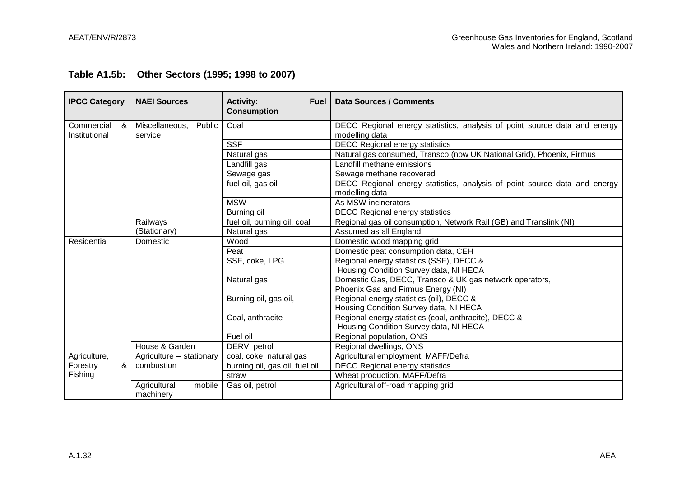|  |  | Table A1.5b: Other Sectors (1995; 1998 to 2007) |
|--|--|-------------------------------------------------|
|--|--|-------------------------------------------------|

| <b>IPCC Category</b>             | <b>NAEI Sources</b>                                     | <b>Activity:</b><br>Fuel<br><b>Consumption</b>                                                                                     | Data Sources / Comments                                                                                                                                                                                                                                                                                                                                                                                       |
|----------------------------------|---------------------------------------------------------|------------------------------------------------------------------------------------------------------------------------------------|---------------------------------------------------------------------------------------------------------------------------------------------------------------------------------------------------------------------------------------------------------------------------------------------------------------------------------------------------------------------------------------------------------------|
| &<br>Commercial<br>Institutional | Public<br>Miscellaneous,<br>service                     | Coal                                                                                                                               | DECC Regional energy statistics, analysis of point source data and energy<br>modelling data                                                                                                                                                                                                                                                                                                                   |
|                                  |                                                         | <b>SSF</b>                                                                                                                         | <b>DECC Regional energy statistics</b>                                                                                                                                                                                                                                                                                                                                                                        |
|                                  |                                                         | Natural gas                                                                                                                        | Natural gas consumed, Transco (now UK National Grid), Phoenix, Firmus                                                                                                                                                                                                                                                                                                                                         |
|                                  |                                                         | Landfill gas                                                                                                                       | Landfill methane emissions                                                                                                                                                                                                                                                                                                                                                                                    |
|                                  |                                                         | Sewage gas                                                                                                                         | Sewage methane recovered                                                                                                                                                                                                                                                                                                                                                                                      |
|                                  |                                                         | fuel oil, gas oil                                                                                                                  | DECC Regional energy statistics, analysis of point source data and energy                                                                                                                                                                                                                                                                                                                                     |
|                                  |                                                         | <b>MSW</b>                                                                                                                         | modelling data<br>As MSW incinerators                                                                                                                                                                                                                                                                                                                                                                         |
|                                  |                                                         | Burning oil                                                                                                                        | <b>DECC Regional energy statistics</b>                                                                                                                                                                                                                                                                                                                                                                        |
|                                  | Railways                                                | fuel oil, burning oil, coal                                                                                                        | Regional gas oil consumption, Network Rail (GB) and Translink (NI)                                                                                                                                                                                                                                                                                                                                            |
|                                  | (Stationary)                                            | Natural gas                                                                                                                        | Assumed as all England                                                                                                                                                                                                                                                                                                                                                                                        |
| Residential                      | Domestic                                                | Wood                                                                                                                               | Domestic wood mapping grid                                                                                                                                                                                                                                                                                                                                                                                    |
|                                  |                                                         | Peat                                                                                                                               | Domestic peat consumption data, CEH                                                                                                                                                                                                                                                                                                                                                                           |
|                                  |                                                         | SSF, coke, LPG                                                                                                                     | Regional energy statistics (SSF), DECC &                                                                                                                                                                                                                                                                                                                                                                      |
|                                  |                                                         |                                                                                                                                    |                                                                                                                                                                                                                                                                                                                                                                                                               |
|                                  |                                                         | Natural gas                                                                                                                        | Domestic Gas, DECC, Transco & UK gas network operators,                                                                                                                                                                                                                                                                                                                                                       |
|                                  |                                                         |                                                                                                                                    |                                                                                                                                                                                                                                                                                                                                                                                                               |
|                                  |                                                         |                                                                                                                                    |                                                                                                                                                                                                                                                                                                                                                                                                               |
|                                  |                                                         |                                                                                                                                    |                                                                                                                                                                                                                                                                                                                                                                                                               |
|                                  |                                                         |                                                                                                                                    |                                                                                                                                                                                                                                                                                                                                                                                                               |
|                                  |                                                         |                                                                                                                                    |                                                                                                                                                                                                                                                                                                                                                                                                               |
|                                  |                                                         |                                                                                                                                    |                                                                                                                                                                                                                                                                                                                                                                                                               |
|                                  |                                                         |                                                                                                                                    |                                                                                                                                                                                                                                                                                                                                                                                                               |
| &<br>Forestry                    | combustion                                              |                                                                                                                                    |                                                                                                                                                                                                                                                                                                                                                                                                               |
| Fishing                          |                                                         | straw                                                                                                                              | Wheat production, MAFF/Defra                                                                                                                                                                                                                                                                                                                                                                                  |
|                                  | Agricultural<br>mobile                                  | Gas oil, petrol                                                                                                                    | Agricultural off-road mapping grid                                                                                                                                                                                                                                                                                                                                                                            |
| Agriculture,                     | House & Garden<br>Agriculture - stationary<br>machinery | Burning oil, gas oil,<br>Coal, anthracite<br>Fuel oil<br>DERV, petrol<br>coal, coke, natural gas<br>burning oil, gas oil, fuel oil | Housing Condition Survey data, NI HECA<br>Phoenix Gas and Firmus Energy (NI)<br>Regional energy statistics (oil), DECC &<br>Housing Condition Survey data, NI HECA<br>Regional energy statistics (coal, anthracite), DECC &<br>Housing Condition Survey data, NI HECA<br>Regional population, ONS<br>Regional dwellings, ONS<br>Agricultural employment, MAFF/Defra<br><b>DECC Regional energy statistics</b> |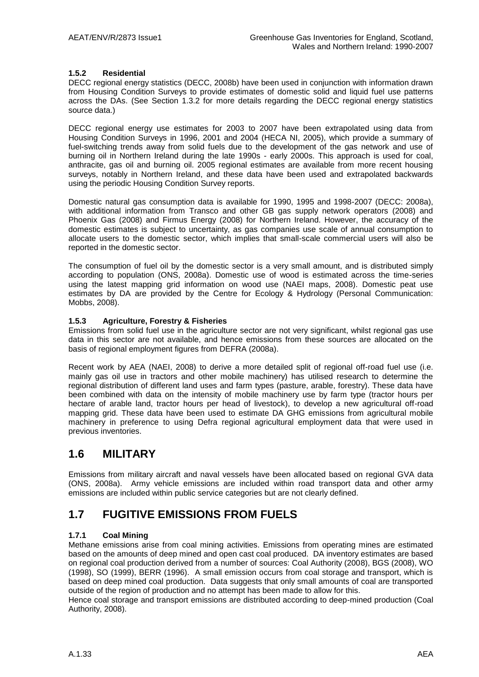### **1.5.2 Residential**

DECC regional energy statistics (DECC, 2008b) have been used in conjunction with information drawn from Housing Condition Surveys to provide estimates of domestic solid and liquid fuel use patterns across the DAs. (See Section 1.3.2 for more details regarding the DECC regional energy statistics source data.)

DECC regional energy use estimates for 2003 to 2007 have been extrapolated using data from Housing Condition Surveys in 1996, 2001 and 2004 (HECA NI, 2005), which provide a summary of fuel-switching trends away from solid fuels due to the development of the gas network and use of burning oil in Northern Ireland during the late 1990s - early 2000s. This approach is used for coal, anthracite, gas oil and burning oil. 2005 regional estimates are available from more recent housing surveys, notably in Northern Ireland, and these data have been used and extrapolated backwards using the periodic Housing Condition Survey reports.

Domestic natural gas consumption data is available for 1990, 1995 and 1998-2007 (DECC: 2008a), with additional information from Transco and other GB gas supply network operators (2008) and Phoenix Gas (2008) and Firmus Energy (2008) for Northern Ireland. However, the accuracy of the domestic estimates is subject to uncertainty, as gas companies use scale of annual consumption to allocate users to the domestic sector, which implies that small-scale commercial users will also be reported in the domestic sector.

The consumption of fuel oil by the domestic sector is a very small amount, and is distributed simply according to population (ONS, 2008a). Domestic use of wood is estimated across the time-series using the latest mapping grid information on wood use (NAEI maps, 2008). Domestic peat use estimates by DA are provided by the Centre for Ecology & Hydrology (Personal Communication: Mobbs, 2008).

### **1.5.3 Agriculture, Forestry & Fisheries**

Emissions from solid fuel use in the agriculture sector are not very significant, whilst regional gas use data in this sector are not available, and hence emissions from these sources are allocated on the basis of regional employment figures from DEFRA (2008a).

Recent work by AEA (NAEI, 2008) to derive a more detailed split of regional off-road fuel use (i.e. mainly gas oil use in tractors and other mobile machinery) has utilised research to determine the regional distribution of different land uses and farm types (pasture, arable, forestry). These data have been combined with data on the intensity of mobile machinery use by farm type (tractor hours per hectare of arable land, tractor hours per head of livestock), to develop a new agricultural off-road mapping grid. These data have been used to estimate DA GHG emissions from agricultural mobile machinery in preference to using Defra regional agricultural employment data that were used in previous inventories.

### **1.6 MILITARY**

Emissions from military aircraft and naval vessels have been allocated based on regional GVA data (ONS, 2008a). Army vehicle emissions are included within road transport data and other army emissions are included within public service categories but are not clearly defined.

# **1.7 FUGITIVE EMISSIONS FROM FUELS**

### **1.7.1 Coal Mining**

Methane emissions arise from coal mining activities. Emissions from operating mines are estimated based on the amounts of deep mined and open cast coal produced. DA inventory estimates are based on regional coal production derived from a number of sources: Coal Authority (2008), BGS (2008), WO (1998), SO (1999), BERR (1996). A small emission occurs from coal storage and transport, which is based on deep mined coal production. Data suggests that only small amounts of coal are transported outside of the region of production and no attempt has been made to allow for this.

Hence coal storage and transport emissions are distributed according to deep-mined production (Coal Authority, 2008).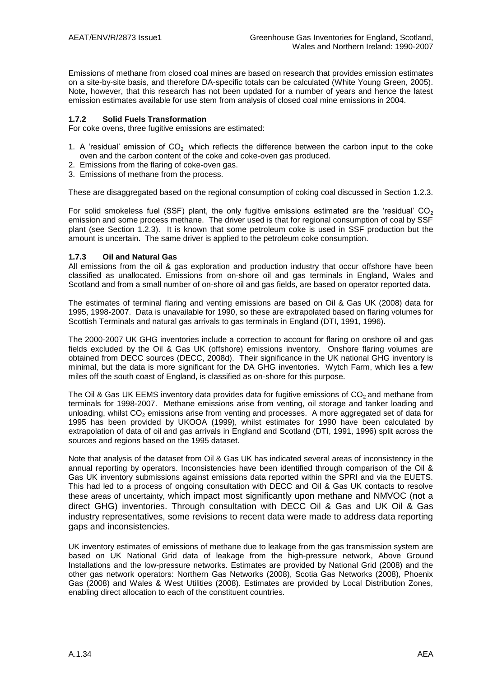Emissions of methane from closed coal mines are based on research that provides emission estimates on a site-by-site basis, and therefore DA-specific totals can be calculated (White Young Green, 2005). Note, however, that this research has not been updated for a number of years and hence the latest emission estimates available for use stem from analysis of closed coal mine emissions in 2004.

### **1.7.2 Solid Fuels Transformation**

For coke ovens, three fugitive emissions are estimated:

- 1. A 'residual' emission of  $CO<sub>2</sub>$  which reflects the difference between the carbon input to the coke oven and the carbon content of the coke and coke-oven gas produced.
- 2. Emissions from the flaring of coke-oven gas.
- 3. Emissions of methane from the process.

These are disaggregated based on the regional consumption of coking coal discussed in Section 1.2.3.

For solid smokeless fuel (SSF) plant, the only fugitive emissions estimated are the 'residual'  $CO<sub>2</sub>$ emission and some process methane. The driver used is that for regional consumption of coal by SSF plant (see Section 1.2.3). It is known that some petroleum coke is used in SSF production but the amount is uncertain. The same driver is applied to the petroleum coke consumption.

#### **1.7.3 Oil and Natural Gas**

All emissions from the oil & gas exploration and production industry that occur offshore have been classified as unallocated. Emissions from on-shore oil and gas terminals in England, Wales and Scotland and from a small number of on-shore oil and gas fields, are based on operator reported data.

The estimates of terminal flaring and venting emissions are based on Oil & Gas UK (2008) data for 1995, 1998-2007. Data is unavailable for 1990, so these are extrapolated based on flaring volumes for Scottish Terminals and natural gas arrivals to gas terminals in England (DTI, 1991, 1996).

The 2000-2007 UK GHG inventories include a correction to account for flaring on onshore oil and gas fields excluded by the Oil & Gas UK (offshore) emissions inventory. Onshore flaring volumes are obtained from DECC sources (DECC, 2008d). Their significance in the UK national GHG inventory is minimal, but the data is more significant for the DA GHG inventories. Wytch Farm, which lies a few miles off the south coast of England, is classified as on-shore for this purpose.

The Oil & Gas UK EEMS inventory data provides data for fugitive emissions of  $CO<sub>2</sub>$  and methane from terminals for 1998-2007. Methane emissions arise from venting, oil storage and tanker loading and unloading, whilst  $CO<sub>2</sub>$  emissions arise from venting and processes. A more aggregated set of data for 1995 has been provided by UKOOA (1999), whilst estimates for 1990 have been calculated by extrapolation of data of oil and gas arrivals in England and Scotland (DTI, 1991, 1996) split across the sources and regions based on the 1995 dataset.

Note that analysis of the dataset from Oil & Gas UK has indicated several areas of inconsistency in the annual reporting by operators. Inconsistencies have been identified through comparison of the Oil & Gas UK inventory submissions against emissions data reported within the SPRI and via the EUETS. This had led to a process of ongoing consultation with DECC and Oil & Gas UK contacts to resolve these areas of uncertainty, which impact most significantly upon methane and NMVOC (not a direct GHG) inventories. Through consultation with DECC Oil & Gas and UK Oil & Gas industry representatives, some revisions to recent data were made to address data reporting gaps and inconsistencies.

UK inventory estimates of emissions of methane due to leakage from the gas transmission system are based on UK National Grid data of leakage from the high-pressure network, Above Ground Installations and the low-pressure networks. Estimates are provided by National Grid (2008) and the other gas network operators: Northern Gas Networks (2008), Scotia Gas Networks (2008), Phoenix Gas (2008) and Wales & West Utilities (2008). Estimates are provided by Local Distribution Zones, enabling direct allocation to each of the constituent countries.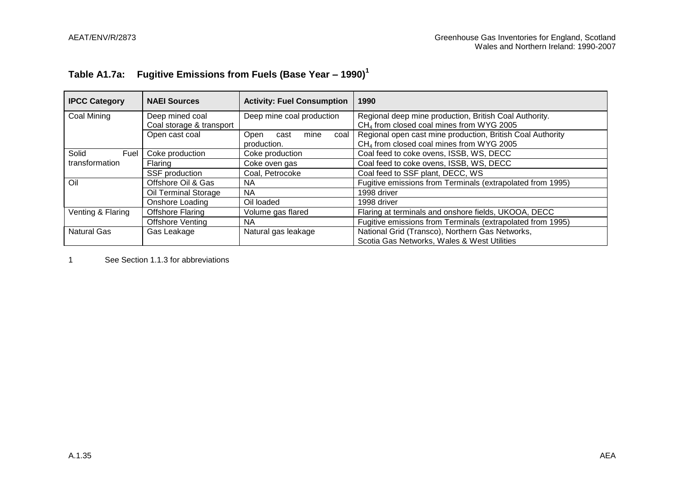# **Table A1.7a: Fugitive Emissions from Fuels (Base Year – 1990)<sup>1</sup>**

| <b>IPCC Category</b> | <b>NAEI Sources</b>      | <b>Activity: Fuel Consumption</b> | 1990                                                       |
|----------------------|--------------------------|-----------------------------------|------------------------------------------------------------|
| Coal Mining          | Deep mined coal          | Deep mine coal production         | Regional deep mine production, British Coal Authority.     |
|                      | Coal storage & transport |                                   | CH <sub>4</sub> from closed coal mines from WYG 2005       |
|                      | Open cast coal           | mine<br>Open<br>cast<br>coal      | Regional open cast mine production, British Coal Authority |
|                      |                          | production.                       | CH <sub>4</sub> from closed coal mines from WYG 2005       |
| Solid<br>Fuel        | Coke production          | Coke production                   | Coal feed to coke ovens, ISSB, WS, DECC                    |
| transformation       | Flaring                  | Coke oven gas                     | Coal feed to coke ovens, ISSB, WS, DECC                    |
|                      | SSF production           | Coal, Petrocoke                   | Coal feed to SSF plant, DECC, WS                           |
| Oil                  | Offshore Oil & Gas       | NA.                               | Fugitive emissions from Terminals (extrapolated from 1995) |
|                      | Oil Terminal Storage     | NA.                               | 1998 driver                                                |
|                      | Onshore Loading          | Oil loaded                        | 1998 driver                                                |
| Venting & Flaring    | <b>Offshore Flaring</b>  | Volume gas flared                 | Flaring at terminals and onshore fields, UKOOA, DECC       |
|                      | <b>Offshore Venting</b>  | NA.                               | Fugitive emissions from Terminals (extrapolated from 1995) |
| Natural Gas          | Gas Leakage              | Natural gas leakage               | National Grid (Transco), Northern Gas Networks,            |
|                      |                          |                                   | Scotia Gas Networks, Wales & West Utilities                |

1 See Section 1.1.3 for abbreviations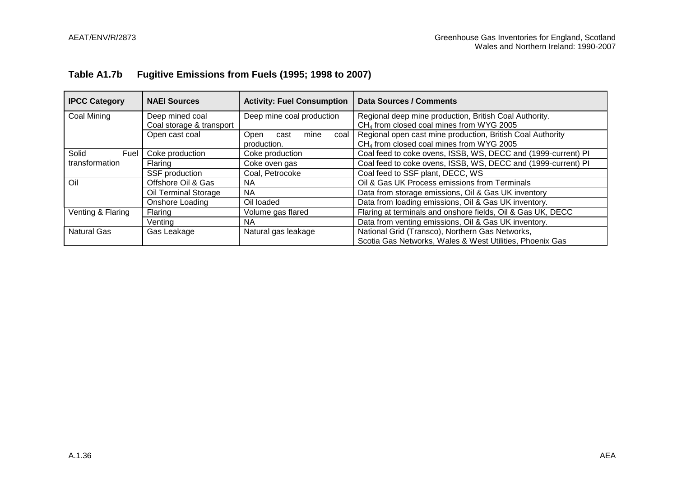# **Table A1.7b Fugitive Emissions from Fuels (1995; 1998 to 2007)**

| <b>IPCC Category</b>            | <b>NAEI Sources</b>                         | <b>Activity: Fuel Consumption</b>           | <b>Data Sources / Comments</b>                                                                                     |  |
|---------------------------------|---------------------------------------------|---------------------------------------------|--------------------------------------------------------------------------------------------------------------------|--|
| Coal Mining                     | Deep mined coal<br>Coal storage & transport | Deep mine coal production                   | Regional deep mine production, British Coal Authority.<br>CH <sub>4</sub> from closed coal mines from WYG 2005     |  |
|                                 | Open cast coal                              | Open<br>mine<br>coal<br>cast<br>production. | Regional open cast mine production, British Coal Authority<br>CH <sub>4</sub> from closed coal mines from WYG 2005 |  |
| Solid<br>Fuel<br>transformation | Coke production                             | Coke production                             | Coal feed to coke ovens, ISSB, WS, DECC and (1999-current) PI                                                      |  |
|                                 | Flaring                                     | Coke oven gas                               | Coal feed to coke ovens, ISSB, WS, DECC and (1999-current) PI                                                      |  |
|                                 | SSF production                              | Coal, Petrocoke                             | Coal feed to SSF plant, DECC, WS                                                                                   |  |
| Oil                             | Offshore Oil & Gas                          | NA.                                         | Oil & Gas UK Process emissions from Terminals                                                                      |  |
|                                 | Oil Terminal Storage                        | NA.                                         | Data from storage emissions, Oil & Gas UK inventory                                                                |  |
|                                 | Onshore Loading                             | Oil loaded                                  | Data from loading emissions, Oil & Gas UK inventory.                                                               |  |
| Venting & Flaring               | Flaring                                     | Volume gas flared                           | Flaring at terminals and onshore fields, Oil & Gas UK, DECC                                                        |  |
|                                 | Ventina                                     | NA.                                         | Data from venting emissions, Oil & Gas UK inventory.                                                               |  |
| Natural Gas                     | Gas Leakage                                 | Natural gas leakage                         | National Grid (Transco), Northern Gas Networks,<br>Scotia Gas Networks, Wales & West Utilities, Phoenix Gas        |  |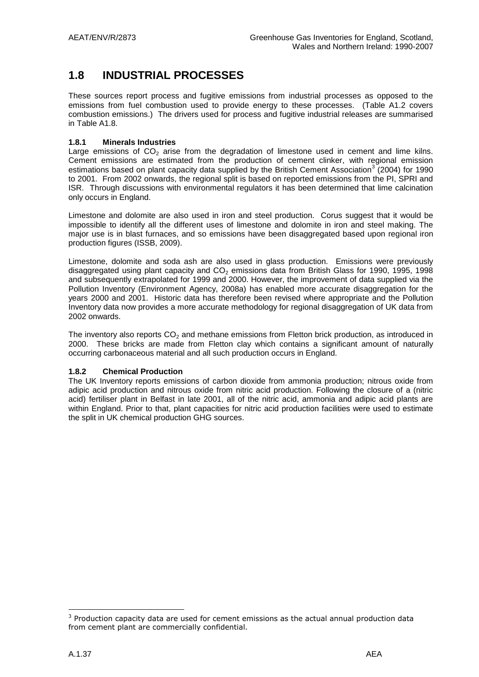# **1.8 INDUSTRIAL PROCESSES**

These sources report process and fugitive emissions from industrial processes as opposed to the emissions from fuel combustion used to provide energy to these processes. (Table A1.2 covers combustion emissions.) The drivers used for process and fugitive industrial releases are summarised in Table A1.8.

### **1.8.1 Minerals Industries**

Large emissions of  $CO<sub>2</sub>$  arise from the degradation of limestone used in cement and lime kilns. Cement emissions are estimated from the production of cement clinker, with regional emission estimations based on plant capacity data supplied by the British Cement Association<sup>3</sup> (2004) for 1990 to 2001. From 2002 onwards, the regional split is based on reported emissions from the PI, SPRI and ISR. Through discussions with environmental regulators it has been determined that lime calcination only occurs in England.

Limestone and dolomite are also used in iron and steel production. Corus suggest that it would be impossible to identify all the different uses of limestone and dolomite in iron and steel making. The major use is in blast furnaces, and so emissions have been disaggregated based upon regional iron production figures (ISSB, 2009).

Limestone, dolomite and soda ash are also used in glass production. Emissions were previously disaggregated using plant capacity and  $CO<sub>2</sub>$  emissions data from British Glass for 1990, 1995, 1998 and subsequently extrapolated for 1999 and 2000. However, the improvement of data supplied via the Pollution Inventory (Environment Agency, 2008a) has enabled more accurate disaggregation for the years 2000 and 2001. Historic data has therefore been revised where appropriate and the Pollution Inventory data now provides a more accurate methodology for regional disaggregation of UK data from 2002 onwards.

The inventory also reports  $CO<sub>2</sub>$  and methane emissions from Fletton brick production, as introduced in 2000. These bricks are made from Fletton clay which contains a significant amount of naturally occurring carbonaceous material and all such production occurs in England.

### **1.8.2 Chemical Production**

The UK Inventory reports emissions of carbon dioxide from ammonia production; nitrous oxide from adipic acid production and nitrous oxide from nitric acid production. Following the closure of a (nitric acid) fertiliser plant in Belfast in late 2001, all of the nitric acid, ammonia and adipic acid plants are within England. Prior to that, plant capacities for nitric acid production facilities were used to estimate the split in UK chemical production GHG sources.

<u>.</u>

 $3$  Production capacity data are used for cement emissions as the actual annual production data from cement plant are commercially confidential.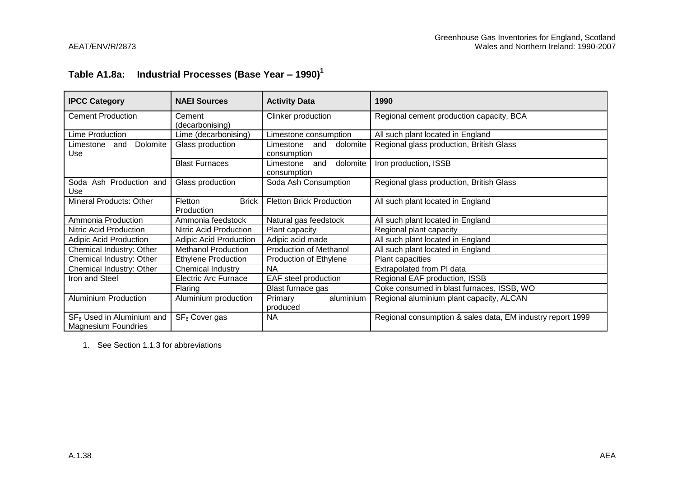# **Table A1.8a: Industrial Processes (Base Year – 1990)<sup>1</sup>**

| <b>IPCC Category</b>                                      | <b>NAEI Sources</b>                   | <b>Activity Data</b>                        | 1990                                                       |  |
|-----------------------------------------------------------|---------------------------------------|---------------------------------------------|------------------------------------------------------------|--|
| <b>Cement Production</b>                                  | Cement<br>(decarbonising)             | Clinker production                          | Regional cement production capacity, BCA                   |  |
| Lime Production                                           | Lime (decarbonising)                  | Limestone consumption                       | All such plant located in England                          |  |
| Dolomite<br>Limestone<br>and<br>Use                       | Glass production                      | dolomite<br>Limestone<br>and<br>consumption | Regional glass production, British Glass                   |  |
|                                                           | <b>Blast Furnaces</b>                 | dolomite<br>Limestone<br>and<br>consumption | Iron production, ISSB                                      |  |
| Ash Production and<br>Soda<br>Use                         | Glass production                      | Soda Ash Consumption                        | Regional glass production, British Glass                   |  |
| Mineral Products: Other                                   | <b>Brick</b><br>Fletton<br>Production | <b>Fletton Brick Production</b>             | All such plant located in England                          |  |
| Ammonia Production                                        | Ammonia feedstock                     | Natural gas feedstock                       | All such plant located in England                          |  |
| Nitric Acid Production                                    | Nitric Acid Production                | Plant capacity                              | Regional plant capacity                                    |  |
| <b>Adipic Acid Production</b>                             | <b>Adipic Acid Production</b>         | Adipic acid made                            | All such plant located in England                          |  |
| Chemical Industry: Other                                  | <b>Methanol Production</b>            | <b>Production of Methanol</b>               | All such plant located in England                          |  |
| Chemical Industry: Other                                  | <b>Ethylene Production</b>            | Production of Ethylene                      | Plant capacities                                           |  |
| Chemical Industry: Other                                  | Chemical Industry                     | <b>NA</b>                                   | Extrapolated from PI data                                  |  |
| Iron and Steel                                            | <b>Electric Arc Furnace</b>           | EAF steel production                        | Regional EAF production, ISSB                              |  |
|                                                           | Flaring                               | Blast furnace gas                           | Coke consumed in blast furnaces, ISSB, WO                  |  |
| <b>Aluminium Production</b>                               | Aluminium production                  | aluminium<br><b>Primary</b><br>produced     | Regional aluminium plant capacity, ALCAN                   |  |
| $SF6$ Used in Aluminium and<br><b>Magnesium Foundries</b> | SF <sub>6</sub> Cover gas             | <b>NA</b>                                   | Regional consumption & sales data, EM industry report 1999 |  |

1. See Section 1.1.3 for abbreviations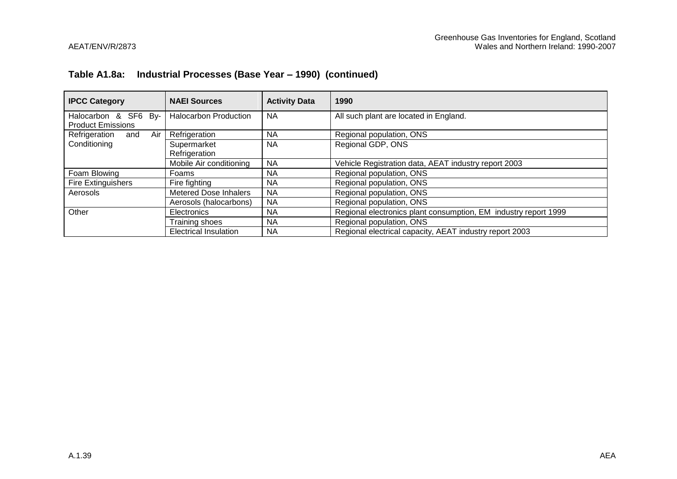### **Table A1.8a: Industrial Processes (Base Year – 1990) (continued)**

| <b>IPCC Category</b>                             | <b>NAEI Sources</b>          | <b>Activity Data</b> | 1990                                                            |  |
|--------------------------------------------------|------------------------------|----------------------|-----------------------------------------------------------------|--|
| Halocarbon & SF6 By-<br><b>Product Emissions</b> | <b>Halocarbon Production</b> | <b>NA</b>            | All such plant are located in England.                          |  |
| Air<br>Refrigeration<br>and                      | Refrigeration                | <b>NA</b>            | Regional population, ONS                                        |  |
| Conditioning                                     | Supermarket<br>Refrigeration | <b>NA</b>            | Regional GDP, ONS                                               |  |
|                                                  | Mobile Air conditioning      | <b>NA</b>            | Vehicle Registration data, AEAT industry report 2003            |  |
| Foam Blowing                                     | Foams                        | <b>NA</b>            | Regional population, ONS                                        |  |
| Fire Extinguishers                               | Fire fighting                | ΝA                   | Regional population, ONS                                        |  |
| Aerosols                                         | <b>Metered Dose Inhalers</b> | <b>NA</b>            | Regional population, ONS                                        |  |
|                                                  | Aerosols (halocarbons)       | <b>NA</b>            | Regional population, ONS                                        |  |
| Other                                            | Electronics                  | <b>NA</b>            | Regional electronics plant consumption, EM industry report 1999 |  |
|                                                  | Training shoes               | <b>NA</b>            | Regional population, ONS                                        |  |
|                                                  | <b>Electrical Insulation</b> | <b>NA</b>            | Regional electrical capacity, AEAT industry report 2003         |  |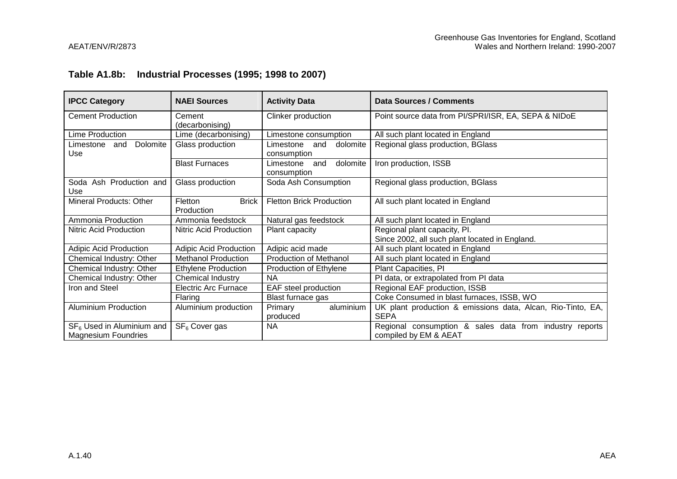### **Table A1.8b: Industrial Processes (1995; 1998 to 2007)**

| <b>IPCC Category</b>                                               | <b>NAEI Sources</b>                   | <b>Activity Data</b>                        | Data Sources / Comments                                                          |  |
|--------------------------------------------------------------------|---------------------------------------|---------------------------------------------|----------------------------------------------------------------------------------|--|
| <b>Cement Production</b>                                           | Cement<br>(decarbonising)             | Clinker production                          | Point source data from PI/SPRI/ISR, EA, SEPA & NIDoE                             |  |
| Lime Production                                                    | Lime (decarbonising)                  | Limestone consumption                       | All such plant located in England                                                |  |
| Dolomite<br>Limestone<br>and<br>Use                                | Glass production                      | dolomite<br>Limestone<br>and<br>consumption | Regional glass production, BGlass                                                |  |
|                                                                    | <b>Blast Furnaces</b>                 | dolomite<br>Limestone<br>and<br>consumption | Iron production, ISSB                                                            |  |
| Soda Ash Production and<br>Use                                     | Glass production                      | Soda Ash Consumption                        | Regional glass production, BGlass                                                |  |
| Mineral Products: Other                                            | <b>Brick</b><br>Fletton<br>Production | <b>Fletton Brick Production</b>             | All such plant located in England                                                |  |
| Ammonia Production                                                 | Ammonia feedstock                     | Natural gas feedstock                       | All such plant located in England                                                |  |
| Nitric Acid Production<br>Nitric Acid Production<br>Plant capacity |                                       |                                             | Regional plant capacity, Pl.<br>Since 2002, all such plant located in England.   |  |
| <b>Adipic Acid Production</b>                                      | <b>Adipic Acid Production</b>         | Adipic acid made                            | All such plant located in England                                                |  |
| Chemical Industry: Other                                           | <b>Methanol Production</b>            | <b>Production of Methanol</b>               | All such plant located in England                                                |  |
| Chemical Industry: Other                                           | <b>Ethylene Production</b>            | Production of Ethylene                      | Plant Capacities, PI                                                             |  |
| Chemical Industry: Other                                           | Chemical Industry                     | <b>NA</b>                                   | PI data, or extrapolated from PI data                                            |  |
| Iron and Steel                                                     | <b>Electric Arc Furnace</b>           | EAF steel production                        | Regional EAF production, ISSB                                                    |  |
|                                                                    | Flaring                               | Blast furnace gas                           | Coke Consumed in blast furnaces, ISSB, WO                                        |  |
| <b>Aluminium Production</b>                                        | Aluminium production                  | aluminium<br>Primary<br>produced            | UK plant production & emissions data, Alcan, Rio-Tinto, EA,<br><b>SEPA</b>       |  |
| $SF6$ Used in Aluminium and<br><b>Magnesium Foundries</b>          | SF <sub>6</sub> Cover gas             | <b>NA</b>                                   | Regional consumption & sales data from industry reports<br>compiled by EM & AEAT |  |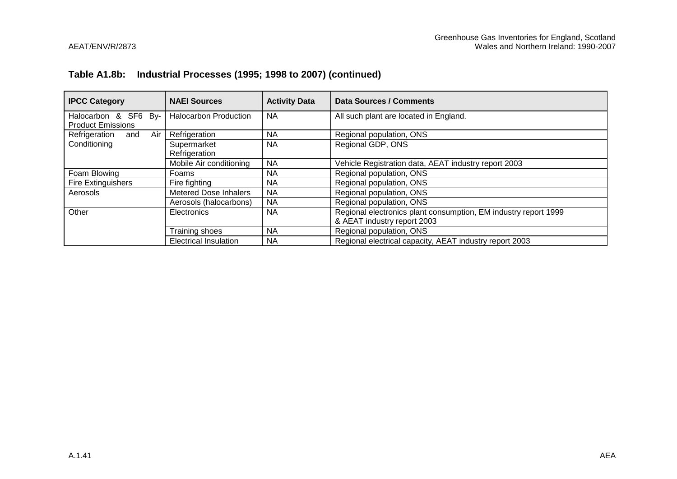# **Table A1.8b: Industrial Processes (1995; 1998 to 2007) (continued)**

| <b>IPCC Category</b>                             | <b>NAEI Sources</b>          | <b>Activity Data</b> | Data Sources / Comments                                                                        |  |  |
|--------------------------------------------------|------------------------------|----------------------|------------------------------------------------------------------------------------------------|--|--|
| Halocarbon & SF6 By-<br><b>Product Emissions</b> | <b>Halocarbon Production</b> | <b>NA</b>            | All such plant are located in England.                                                         |  |  |
| Air<br>Refrigeration<br>and                      | Refrigeration                | <b>NA</b>            | Regional population, ONS                                                                       |  |  |
| Conditioning                                     | Supermarket<br>Refrigeration | <b>NA</b>            | Regional GDP, ONS                                                                              |  |  |
|                                                  | Mobile Air conditioning      | <b>NA</b>            | Vehicle Registration data, AEAT industry report 2003                                           |  |  |
| Foam Blowing                                     | Foams                        | NA.                  | Regional population, ONS                                                                       |  |  |
| <b>Fire Extinguishers</b>                        | Fire fighting                | <b>NA</b>            | Regional population, ONS                                                                       |  |  |
| Aerosols                                         | <b>Metered Dose Inhalers</b> | <b>NA</b>            | Regional population, ONS                                                                       |  |  |
|                                                  | Aerosols (halocarbons)       | <b>NA</b>            | Regional population, ONS                                                                       |  |  |
| Other                                            | Electronics                  | <b>NA</b>            | Regional electronics plant consumption, EM industry report 1999<br>& AEAT industry report 2003 |  |  |
|                                                  | Training shoes               | <b>NA</b>            | Regional population, ONS                                                                       |  |  |
|                                                  | <b>Electrical Insulation</b> | <b>NA</b>            | Regional electrical capacity, AEAT industry report 2003                                        |  |  |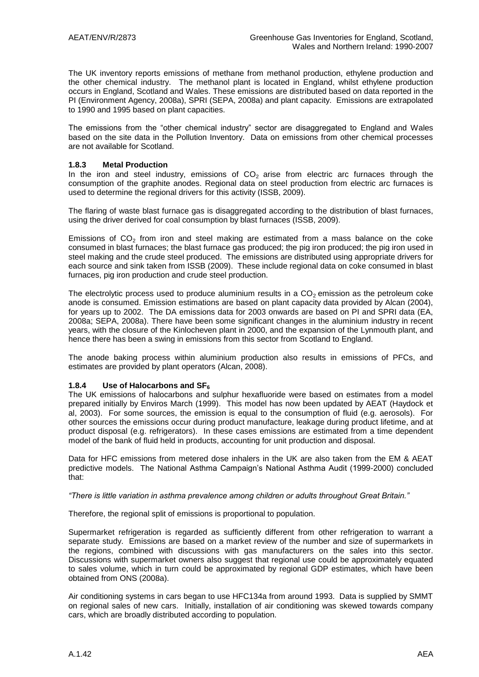The UK inventory reports emissions of methane from methanol production, ethylene production and the other chemical industry. The methanol plant is located in England, whilst ethylene production occurs in England, Scotland and Wales. These emissions are distributed based on data reported in the PI (Environment Agency, 2008a), SPRI (SEPA, 2008a) and plant capacity. Emissions are extrapolated to 1990 and 1995 based on plant capacities.

The emissions from the "other chemical industry" sector are disaggregated to England and Wales based on the site data in the Pollution Inventory. Data on emissions from other chemical processes are not available for Scotland.

### **1.8.3 Metal Production**

In the iron and steel industry, emissions of  $CO<sub>2</sub>$  arise from electric arc furnaces through the consumption of the graphite anodes. Regional data on steel production from electric arc furnaces is used to determine the regional drivers for this activity (ISSB, 2009).

The flaring of waste blast furnace gas is disaggregated according to the distribution of blast furnaces, using the driver derived for coal consumption by blast furnaces (ISSB, 2009).

Emissions of  $CO<sub>2</sub>$  from iron and steel making are estimated from a mass balance on the coke consumed in blast furnaces; the blast furnace gas produced; the pig iron produced; the pig iron used in steel making and the crude steel produced. The emissions are distributed using appropriate drivers for each source and sink taken from ISSB (2009). These include regional data on coke consumed in blast furnaces, pig iron production and crude steel production.

The electrolytic process used to produce aluminium results in a  $CO<sub>2</sub>$  emission as the petroleum coke anode is consumed. Emission estimations are based on plant capacity data provided by Alcan (2004), for years up to 2002. The DA emissions data for 2003 onwards are based on PI and SPRI data (EA, 2008a; SEPA, 2008a). There have been some significant changes in the aluminium industry in recent years, with the closure of the Kinlocheven plant in 2000, and the expansion of the Lynmouth plant, and hence there has been a swing in emissions from this sector from Scotland to England.

The anode baking process within aluminium production also results in emissions of PFCs, and estimates are provided by plant operators (Alcan, 2008).

#### **1.8.4 Use of Halocarbons and SF<sup>6</sup>**

The UK emissions of halocarbons and sulphur hexafluoride were based on estimates from a model prepared initially by Enviros March (1999). This model has now been updated by AEAT (Haydock et al, 2003). For some sources, the emission is equal to the consumption of fluid (e.g. aerosols). For other sources the emissions occur during product manufacture, leakage during product lifetime, and at product disposal (e.g. refrigerators). In these cases emissions are estimated from a time dependent model of the bank of fluid held in products, accounting for unit production and disposal.

Data for HFC emissions from metered dose inhalers in the UK are also taken from the EM & AEAT predictive models. The National Asthma Campaign"s National Asthma Audit (1999-2000) concluded that:

*"There is little variation in asthma prevalence among children or adults throughout Great Britain."* 

Therefore, the regional split of emissions is proportional to population.

Supermarket refrigeration is regarded as sufficiently different from other refrigeration to warrant a separate study. Emissions are based on a market review of the number and size of supermarkets in the regions, combined with discussions with gas manufacturers on the sales into this sector. Discussions with supermarket owners also suggest that regional use could be approximately equated to sales volume, which in turn could be approximated by regional GDP estimates, which have been obtained from ONS (2008a).

Air conditioning systems in cars began to use HFC134a from around 1993. Data is supplied by SMMT on regional sales of new cars. Initially, installation of air conditioning was skewed towards company cars, which are broadly distributed according to population.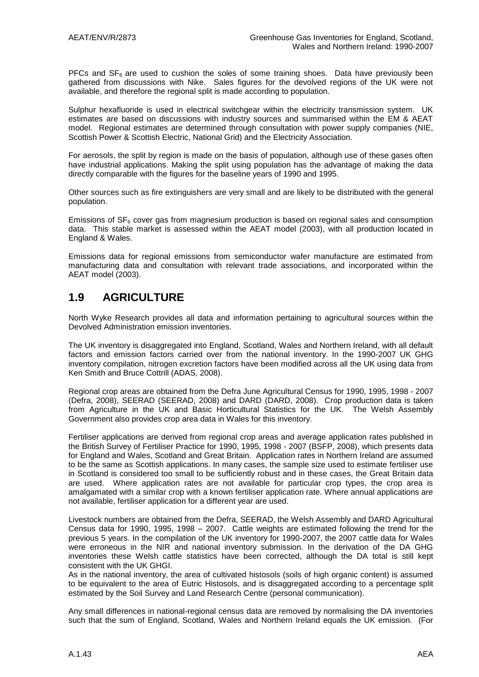PFCs and  $SF<sub>6</sub>$  are used to cushion the soles of some training shoes. Data have previously been gathered from discussions with Nike. Sales figures for the devolved regions of the UK were not available, and therefore the regional split is made according to population.

Sulphur hexafluoride is used in electrical switchgear within the electricity transmission system. UK estimates are based on discussions with industry sources and summarised within the EM & AEAT model. Regional estimates are determined through consultation with power supply companies (NIE, Scottish Power & Scottish Electric, National Grid) and the Electricity Association.

For aerosols, the split by region is made on the basis of population, although use of these gases often have industrial applications. Making the split using population has the advantage of making the data directly comparable with the figures for the baseline years of 1990 and 1995.

Other sources such as fire extinguishers are very small and are likely to be distributed with the general population.

Emissions of  $SF<sub>6</sub>$  cover gas from magnesium production is based on regional sales and consumption data. This stable market is assessed within the AEAT model (2003), with all production located in England & Wales.

Emissions data for regional emissions from semiconductor wafer manufacture are estimated from manufacturing data and consultation with relevant trade associations, and incorporated within the AEAT model (2003).

# **1.9 AGRICULTURE**

North Wyke Research provides all data and information pertaining to agricultural sources within the Devolved Administration emission inventories.

The UK inventory is disaggregated into England, Scotland, Wales and Northern Ireland, with all default factors and emission factors carried over from the national inventory. In the 1990-2007 UK GHG inventory compilation, nitrogen excretion factors have been modified across all the UK using data from Ken Smith and Bruce Cottrill (ADAS, 2008).

Regional crop areas are obtained from the Defra June Agricultural Census for 1990, 1995, 1998 - 2007 (Defra, 2008), SEERAD (SEERAD, 2008) and DARD (DARD, 2008). Crop production data is taken from Agriculture in the UK and Basic Horticultural Statistics for the UK. The Welsh Assembly Government also provides crop area data in Wales for this inventory.

Fertiliser applications are derived from regional crop areas and average application rates published in the British Survey of Fertiliser Practice for 1990, 1995, 1998 - 2007 (BSFP, 2008), which presents data for England and Wales, Scotland and Great Britain. Application rates in Northern Ireland are assumed to be the same as Scottish applications. In many cases, the sample size used to estimate fertiliser use in Scotland is considered too small to be sufficiently robust and in these cases, the Great Britain data are used. Where application rates are not available for particular crop types, the crop area is amalgamated with a similar crop with a known fertiliser application rate. Where annual applications are not available, fertiliser application for a different year are used.

Livestock numbers are obtained from the Defra, SEERAD, the Welsh Assembly and DARD Agricultural Census data for 1990, 1995, 1998 – 2007. Cattle weights are estimated following the trend for the previous 5 years. In the compilation of the UK inventory for 1990-2007, the 2007 cattle data for Wales were erroneous in the NIR and national inventory submission. In the derivation of the DA GHG inventories these Welsh cattle statistics have been corrected, although the DA total is still kept consistent with the UK GHGI.

As in the national inventory, the area of cultivated histosols (soils of high organic content) is assumed to be equivalent to the area of Eutric Histosols, and is disaggregated according to a percentage split estimated by the Soil Survey and Land Research Centre (personal communication).

Any small differences in national-regional census data are removed by normalising the DA inventories such that the sum of England, Scotland, Wales and Northern Ireland equals the UK emission. (For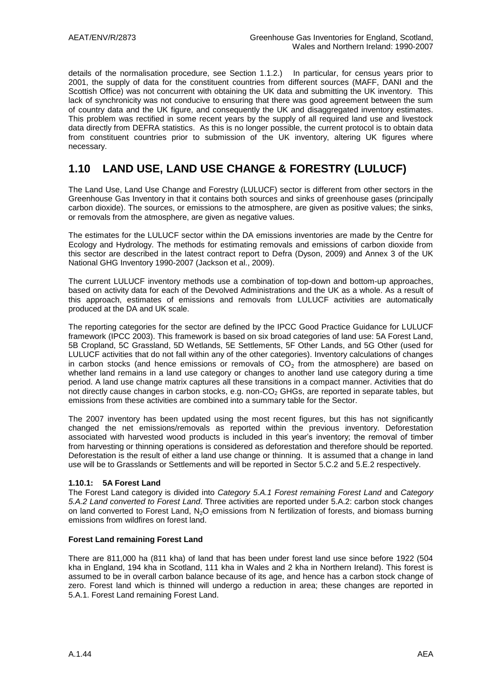details of the normalisation procedure, see Section 1.1.2.) In particular, for census years prior to 2001, the supply of data for the constituent countries from different sources (MAFF, DANI and the Scottish Office) was not concurrent with obtaining the UK data and submitting the UK inventory. This lack of synchronicity was not conducive to ensuring that there was good agreement between the sum of country data and the UK figure, and consequently the UK and disaggregated inventory estimates. This problem was rectified in some recent years by the supply of all required land use and livestock data directly from DEFRA statistics. As this is no longer possible, the current protocol is to obtain data from constituent countries prior to submission of the UK inventory, altering UK figures where necessary.

# **1.10 LAND USE, LAND USE CHANGE & FORESTRY (LULUCF)**

The Land Use, Land Use Change and Forestry (LULUCF) sector is different from other sectors in the Greenhouse Gas Inventory in that it contains both sources and sinks of greenhouse gases (principally carbon dioxide). The sources, or emissions to the atmosphere, are given as positive values; the sinks, or removals from the atmosphere, are given as negative values.

The estimates for the LULUCF sector within the DA emissions inventories are made by the Centre for Ecology and Hydrology. The methods for estimating removals and emissions of carbon dioxide from this sector are described in the latest contract report to Defra (Dyson, 2009) and Annex 3 of the UK National GHG Inventory 1990-2007 (Jackson et al., 2009).

The current LULUCF inventory methods use a combination of top-down and bottom-up approaches, based on activity data for each of the Devolved Administrations and the UK as a whole. As a result of this approach, estimates of emissions and removals from LULUCF activities are automatically produced at the DA and UK scale.

The reporting categories for the sector are defined by the IPCC Good Practice Guidance for LULUCF framework (IPCC 2003). This framework is based on six broad categories of land use: 5A Forest Land, 5B Cropland, 5C Grassland, 5D Wetlands, 5E Settlements, 5F Other Lands, and 5G Other (used for LULUCF activities that do not fall within any of the other categories). Inventory calculations of changes in carbon stocks (and hence emissions or removals of  $CO<sub>2</sub>$  from the atmosphere) are based on whether land remains in a land use category or changes to another land use category during a time period. A land use change matrix captures all these transitions in a compact manner. Activities that do not directly cause changes in carbon stocks, e.g. non- $CO<sub>2</sub>$  GHGs, are reported in separate tables, but emissions from these activities are combined into a summary table for the Sector.

The 2007 inventory has been updated using the most recent figures, but this has not significantly changed the net emissions/removals as reported within the previous inventory. Deforestation associated with harvested wood products is included in this year"s inventory; the removal of timber from harvesting or thinning operations is considered as deforestation and therefore should be reported. Deforestation is the result of either a land use change or thinning. It is assumed that a change in land use will be to Grasslands or Settlements and will be reported in Sector 5.C.2 and 5.E.2 respectively.

### **1.10.1: 5A Forest Land**

The Forest Land category is divided into *Category 5.A.1 Forest remaining Forest Land* and *Category 5.A.2 Land converted to Forest Land*. Three activities are reported under 5.A.2: carbon stock changes on land converted to Forest Land, N<sub>2</sub>O emissions from N fertilization of forests, and biomass burning emissions from wildfires on forest land.

### **Forest Land remaining Forest Land**

There are 811,000 ha (811 kha) of land that has been under forest land use since before 1922 (504 kha in England, 194 kha in Scotland, 111 kha in Wales and 2 kha in Northern Ireland). This forest is assumed to be in overall carbon balance because of its age, and hence has a carbon stock change of zero. Forest land which is thinned will undergo a reduction in area; these changes are reported in 5.A.1. Forest Land remaining Forest Land.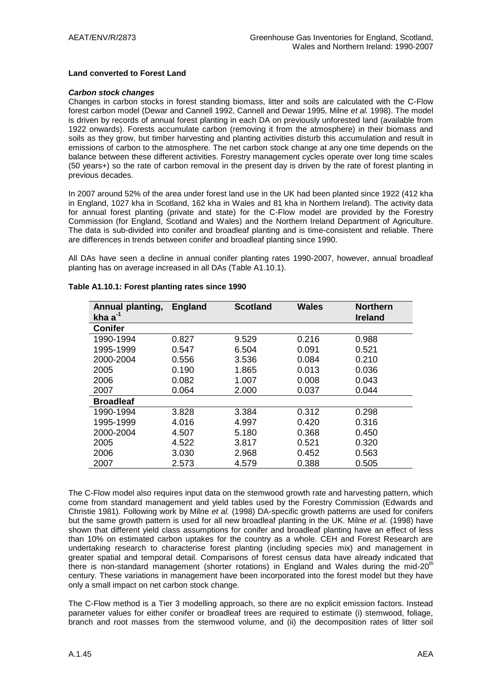#### **Land converted to Forest Land**

#### *Carbon stock changes*

Changes in carbon stocks in forest standing biomass, litter and soils are calculated with the C-Flow forest carbon model (Dewar and Cannell 1992, Cannell and Dewar 1995, Milne *et al.* 1998). The model is driven by records of annual forest planting in each DA on previously unforested land (available from 1922 onwards). Forests accumulate carbon (removing it from the atmosphere) in their biomass and soils as they grow, but timber harvesting and planting activities disturb this accumulation and result in emissions of carbon to the atmosphere. The net carbon stock change at any one time depends on the balance between these different activities. Forestry management cycles operate over long time scales (50 years+) so the rate of carbon removal in the present day is driven by the rate of forest planting in previous decades.

In 2007 around 52% of the area under forest land use in the UK had been planted since 1922 (412 kha in England, 1027 kha in Scotland, 162 kha in Wales and 81 kha in Northern Ireland). The activity data for annual forest planting (private and state) for the C-Flow model are provided by the Forestry Commission (for England, Scotland and Wales) and the Northern Ireland Department of Agriculture. The data is sub-divided into conifer and broadleaf planting and is time-consistent and reliable. There are differences in trends between conifer and broadleaf planting since 1990.

All DAs have seen a decline in annual conifer planting rates 1990-2007, however, annual broadleaf planting has on average increased in all DAs (Table A1.10.1).

| Annual planting,<br>kha $a^{-1}$ | <b>England</b> | <b>Scotland</b> | <b>Wales</b> | <b>Northern</b><br><b>Ireland</b> |
|----------------------------------|----------------|-----------------|--------------|-----------------------------------|
| <b>Conifer</b>                   |                |                 |              |                                   |
| 1990-1994                        | 0.827          | 9.529           | 0.216        | 0.988                             |
| 1995-1999                        | 0.547          | 6.504           | 0.091        | 0.521                             |
| 2000-2004                        | 0.556          | 3.536           | 0.084        | 0.210                             |
| 2005                             | 0.190          | 1.865           | 0.013        | 0.036                             |
| 2006                             | 0.082          | 1.007           | 0.008        | 0.043                             |
| 2007                             | 0.064          | 2.000           | 0.037        | 0.044                             |
| <b>Broadleaf</b>                 |                |                 |              |                                   |
| 1990-1994                        | 3.828          | 3.384           | 0.312        | 0.298                             |
| 1995-1999                        | 4.016          | 4.997           | 0.420        | 0.316                             |
| 2000-2004                        | 4.507          | 5.180           | 0.368        | 0.450                             |
| 2005                             | 4.522          | 3.817           | 0.521        | 0.320                             |
| 2006                             | 3.030          | 2.968           | 0.452        | 0.563                             |
| 2007                             | 2.573          | 4.579           | 0.388        | 0.505                             |

#### **Table A1.10.1: Forest planting rates since 1990**

The C-Flow model also requires input data on the stemwood growth rate and harvesting pattern, which come from standard management and yield tables used by the Forestry Commission (Edwards and Christie 1981). Following work by Milne *et al.* (1998) DA-specific growth patterns are used for conifers but the same growth pattern is used for all new broadleaf planting in the UK. Milne *et al.* (1998) have shown that different yield class assumptions for conifer and broadleaf planting have an effect of less than 10% on estimated carbon uptakes for the country as a whole. CEH and Forest Research are undertaking research to characterise forest planting (including species mix) and management in greater spatial and temporal detail. Comparisons of forest census data have already indicated that there is non-standard management (shorter rotations) in England and Wales during the mid- $20<sup>th</sup>$ century. These variations in management have been incorporated into the forest model but they have only a small impact on net carbon stock change.

The C-Flow method is a Tier 3 modelling approach, so there are no explicit emission factors. Instead parameter values for either conifer or broadleaf trees are required to estimate (i) stemwood, foliage, branch and root masses from the stemwood volume, and (ii) the decomposition rates of litter soil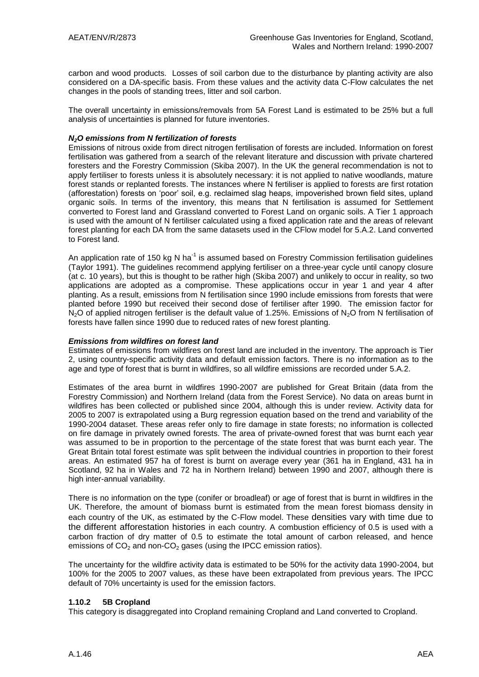carbon and wood products. Losses of soil carbon due to the disturbance by planting activity are also considered on a DA-specific basis. From these values and the activity data C-Flow calculates the net changes in the pools of standing trees, litter and soil carbon.

The overall uncertainty in emissions/removals from 5A Forest Land is estimated to be 25% but a full analysis of uncertainties is planned for future inventories.

### *N2O emissions from N fertilization of forests*

Emissions of nitrous oxide from direct nitrogen fertilisation of forests are included. Information on forest fertilisation was gathered from a search of the relevant literature and discussion with private chartered foresters and the Forestry Commission (Skiba 2007). In the UK the general recommendation is not to apply fertiliser to forests unless it is absolutely necessary: it is not applied to native woodlands, mature forest stands or replanted forests. The instances where N fertiliser is applied to forests are first rotation (afforestation) forests on "poor" soil, e.g. reclaimed slag heaps, impoverished brown field sites, upland organic soils. In terms of the inventory, this means that N fertilisation is assumed for Settlement converted to Forest land and Grassland converted to Forest Land on organic soils. A Tier 1 approach is used with the amount of N fertiliser calculated using a fixed application rate and the areas of relevant forest planting for each DA from the same datasets used in the CFlow model for 5.A.2. Land converted to Forest land.

An application rate of 150 kg N ha<sup>-1</sup> is assumed based on Forestry Commission fertilisation guidelines (Taylor 1991). The guidelines recommend applying fertiliser on a three-year cycle until canopy closure (at c. 10 years), but this is thought to be rather high (Skiba 2007) and unlikely to occur in reality, so two applications are adopted as a compromise. These applications occur in year 1 and year 4 after planting. As a result, emissions from N fertilisation since 1990 include emissions from forests that were planted before 1990 but received their second dose of fertiliser after 1990. The emission factor for  $N<sub>2</sub>O$  of applied nitrogen fertiliser is the default value of 1.25%. Emissions of  $N<sub>2</sub>O$  from N fertilisation of forests have fallen since 1990 due to reduced rates of new forest planting.

#### *Emissions from wildfires on forest land*

Estimates of emissions from wildfires on forest land are included in the inventory. The approach is Tier 2, using country-specific activity data and default emission factors. There is no information as to the age and type of forest that is burnt in wildfires, so all wildfire emissions are recorded under 5.A.2.

Estimates of the area burnt in wildfires 1990-2007 are published for Great Britain (data from the Forestry Commission) and Northern Ireland (data from the Forest Service). No data on areas burnt in wildfires has been collected or published since 2004, although this is under review. Activity data for 2005 to 2007 is extrapolated using a Burg regression equation based on the trend and variability of the 1990-2004 dataset. These areas refer only to fire damage in state forests; no information is collected on fire damage in privately owned forests. The area of private-owned forest that was burnt each year was assumed to be in proportion to the percentage of the state forest that was burnt each year. The Great Britain total forest estimate was split between the individual countries in proportion to their forest areas. An estimated 957 ha of forest is burnt on average every year (361 ha in England, 431 ha in Scotland, 92 ha in Wales and 72 ha in Northern Ireland) between 1990 and 2007, although there is high inter-annual variability.

There is no information on the type (conifer or broadleaf) or age of forest that is burnt in wildfires in the UK. Therefore, the amount of biomass burnt is estimated from the mean forest biomass density in each country of the UK, as estimated by the C-Flow model. These densities vary with time due to the different afforestation histories in each country. A combustion efficiency of 0.5 is used with a carbon fraction of dry matter of 0.5 to estimate the total amount of carbon released, and hence emissions of  $CO<sub>2</sub>$  and non-CO<sub>2</sub> gases (using the IPCC emission ratios).

The uncertainty for the wildfire activity data is estimated to be 50% for the activity data 1990-2004, but 100% for the 2005 to 2007 values, as these have been extrapolated from previous years. The IPCC default of 70% uncertainty is used for the emission factors.

#### **1.10.2 5B Cropland**

This category is disaggregated into Cropland remaining Cropland and Land converted to Cropland.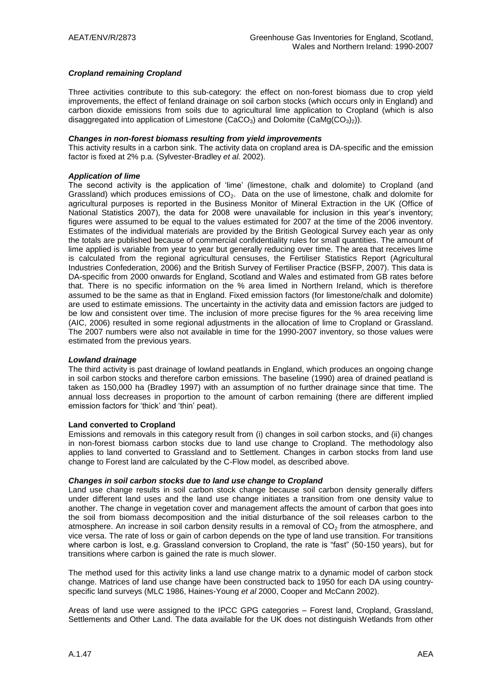### *Cropland remaining Cropland*

Three activities contribute to this sub-category: the effect on non-forest biomass due to crop yield improvements, the effect of fenland drainage on soil carbon stocks (which occurs only in England) and carbon dioxide emissions from soils due to agricultural lime application to Cropland (which is also disaggregated into application of Limestone (CaCO<sub>3</sub>) and Dolomite (CaMg(CO<sub>3</sub>)<sub>2</sub>)).

#### *Changes in non-forest biomass resulting from yield improvements*

This activity results in a carbon sink. The activity data on cropland area is DA-specific and the emission factor is fixed at 2% p.a. (Sylvester-Bradley *et al.* 2002).

#### *Application of lime*

The second activity is the application of "lime" (limestone, chalk and dolomite) to Cropland (and Grassland) which produces emissions of  $CO<sub>2</sub>$ . Data on the use of limestone, chalk and dolomite for agricultural purposes is reported in the Business Monitor of Mineral Extraction in the UK (Office of National Statistics 2007), the data for 2008 were unavailable for inclusion in this year's inventory; figures were assumed to be equal to the values estimated for 2007 at the time of the 2006 inventory. Estimates of the individual materials are provided by the British Geological Survey each year as only the totals are published because of commercial confidentiality rules for small quantities. The amount of lime applied is variable from year to year but generally reducing over time. The area that receives lime is calculated from the regional agricultural censuses, the Fertiliser Statistics Report (Agricultural Industries Confederation, 2006) and the British Survey of Fertiliser Practice (BSFP, 2007). This data is DA-specific from 2000 onwards for England, Scotland and Wales and estimated from GB rates before that. There is no specific information on the % area limed in Northern Ireland, which is therefore assumed to be the same as that in England. Fixed emission factors (for limestone/chalk and dolomite) are used to estimate emissions. The uncertainty in the activity data and emission factors are judged to be low and consistent over time. The inclusion of more precise figures for the % area receiving lime (AIC, 2006) resulted in some regional adjustments in the allocation of lime to Cropland or Grassland. The 2007 numbers were also not available in time for the 1990-2007 inventory, so those values were estimated from the previous years.

#### *Lowland drainage*

The third activity is past drainage of lowland peatlands in England, which produces an ongoing change in soil carbon stocks and therefore carbon emissions. The baseline (1990) area of drained peatland is taken as 150,000 ha (Bradley 1997) with an assumption of no further drainage since that time. The annual loss decreases in proportion to the amount of carbon remaining (there are different implied emission factors for "thick" and "thin" peat).

#### **Land converted to Cropland**

Emissions and removals in this category result from (i) changes in soil carbon stocks, and (ii) changes in non-forest biomass carbon stocks due to land use change to Cropland. The methodology also applies to land converted to Grassland and to Settlement. Changes in carbon stocks from land use change to Forest land are calculated by the C-Flow model, as described above.

#### *Changes in soil carbon stocks due to land use change to Cropland*

Land use change results in soil carbon stock change because soil carbon density generally differs under different land uses and the land use change initiates a transition from one density value to another. The change in vegetation cover and management affects the amount of carbon that goes into the soil from biomass decomposition and the initial disturbance of the soil releases carbon to the atmosphere. An increase in soil carbon density results in a removal of  $CO<sub>2</sub>$  from the atmosphere, and vice versa. The rate of loss or gain of carbon depends on the type of land use transition. For transitions where carbon is lost, e.g. Grassland conversion to Cropland, the rate is "fast" (50-150 years), but for transitions where carbon is gained the rate is much slower.

The method used for this activity links a land use change matrix to a dynamic model of carbon stock change. Matrices of land use change have been constructed back to 1950 for each DA using countryspecific land surveys (MLC 1986, Haines-Young *et al* 2000, Cooper and McCann 2002).

Areas of land use were assigned to the IPCC GPG categories – Forest land, Cropland, Grassland, Settlements and Other Land. The data available for the UK does not distinguish Wetlands from other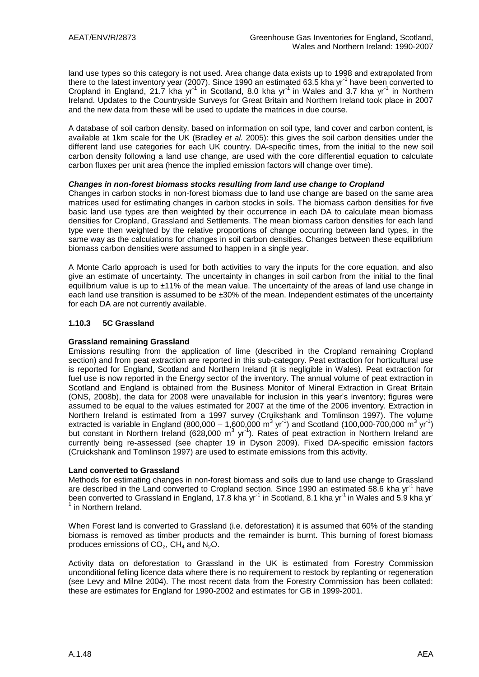land use types so this category is not used. Area change data exists up to 1998 and extrapolated from there to the latest inventory year (2007). Since 1990 an estimated 63.5 kha yr<sup>-1</sup> have been converted to Cropland in England, 21.7 kha yr<sup>-1</sup> in Scotland, 8.0 kha yr<sup>-1</sup> in Wales and 3.7 kha yr<sup>-1</sup> in Northern Ireland. Updates to the Countryside Surveys for Great Britain and Northern Ireland took place in 2007 and the new data from these will be used to update the matrices in due course.

A database of soil carbon density, based on information on soil type, land cover and carbon content, is available at 1km scale for the UK (Bradley *et al.* 2005): this gives the soil carbon densities under the different land use categories for each UK country. DA-specific times, from the initial to the new soil carbon density following a land use change, are used with the core differential equation to calculate carbon fluxes per unit area (hence the implied emission factors will change over time).

#### *Changes in non-forest biomass stocks resulting from land use change to Cropland*

Changes in carbon stocks in non-forest biomass due to land use change are based on the same area matrices used for estimating changes in carbon stocks in soils. The biomass carbon densities for five basic land use types are then weighted by their occurrence in each DA to calculate mean biomass densities for Cropland, Grassland and Settlements. The mean biomass carbon densities for each land type were then weighted by the relative proportions of change occurring between land types, in the same way as the calculations for changes in soil carbon densities. Changes between these equilibrium biomass carbon densities were assumed to happen in a single year.

A Monte Carlo approach is used for both activities to vary the inputs for the core equation, and also give an estimate of uncertainty. The uncertainty in changes in soil carbon from the initial to the final equilibrium value is up to ±11% of the mean value. The uncertainty of the areas of land use change in each land use transition is assumed to be ±30% of the mean. Independent estimates of the uncertainty for each DA are not currently available.

### **1.10.3 5C Grassland**

### **Grassland remaining Grassland**

Emissions resulting from the application of lime (described in the Cropland remaining Cropland section) and from peat extraction are reported in this sub-category. Peat extraction for horticultural use is reported for England, Scotland and Northern Ireland (it is negligible in Wales). Peat extraction for fuel use is now reported in the Energy sector of the inventory. The annual volume of peat extraction in Scotland and England is obtained from the Business Monitor of Mineral Extraction in Great Britain (ONS, 2008b), the data for 2008 were unavailable for inclusion in this year"s inventory; figures were assumed to be equal to the values estimated for 2007 at the time of the 2006 inventory. Extraction in Northern Ireland is estimated from a 1997 survey (Cruikshank and Tomlinson 1997). The volume extracted is variable in England (800,000 – 1,600,000 m<sup>3</sup> yr<sup>-1</sup>) and Scotland (100,000-700,000 m<sup>3</sup> yr<sup>-1</sup>) but constant in Northern Ireland (628,000 m<sup>3</sup> yr<sup>-1</sup>). Rates of peat extraction in Northern Ireland are currently being re-assessed (see chapter 19 in Dyson 2009). Fixed DA-specific emission factors (Cruickshank and Tomlinson 1997) are used to estimate emissions from this activity.

#### **Land converted to Grassland**

Methods for estimating changes in non-forest biomass and soils due to land use change to Grassland are described in the Land converted to Cropland section. Since 1990 an estimated 58.6 kha yr<sup>-1</sup> have been converted to Grassland in England, 17.8 kha yr<sup>-1</sup> in Scotland, 8.1 kha yr<sup>-1</sup> in Wales and 5.9 kha yr<sup>-</sup> <sup>1</sup> in Northern Ireland.

When Forest land is converted to Grassland (i.e. deforestation) it is assumed that 60% of the standing biomass is removed as timber products and the remainder is burnt. This burning of forest biomass produces emissions of  $CO<sub>2</sub>$ , CH<sub>4</sub> and N<sub>2</sub>O.

Activity data on deforestation to Grassland in the UK is estimated from Forestry Commission unconditional felling licence data where there is no requirement to restock by replanting or regeneration (see Levy and Milne 2004). The most recent data from the Forestry Commission has been collated: these are estimates for England for 1990-2002 and estimates for GB in 1999-2001.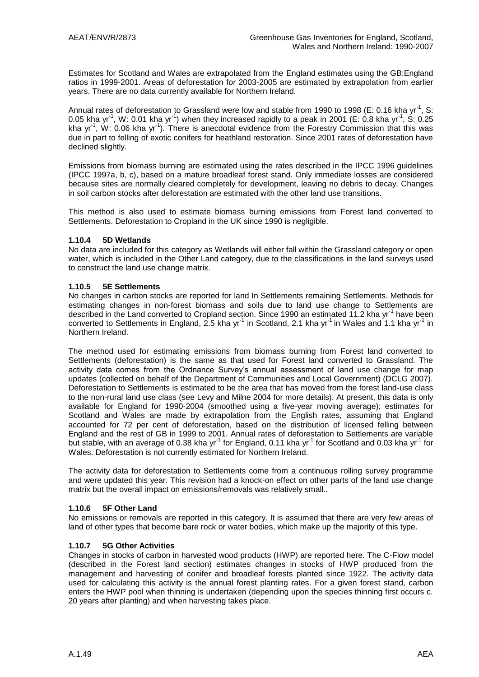Estimates for Scotland and Wales are extrapolated from the England estimates using the GB:England ratios in 1999-2001. Areas of deforestation for 2003-2005 are estimated by extrapolation from earlier years. There are no data currently available for Northern Ireland.

Annual rates of deforestation to Grassland were low and stable from 1990 to 1998 (E: 0.16 kha yr<sup>-1</sup>, S: 0.05 kha yr<sup>-1</sup>, W: 0.01 kha yr<sup>-1</sup>) when they increased rapidly to a peak in 2001 (E: 0.8 kha yr<sup>-1</sup>, S: 0.25 kha yr<sup>-1</sup>, W: 0.06 kha yr<sup>-1</sup>). There is anecdotal evidence from the Forestry Commission that this was due in part to felling of exotic conifers for heathland restoration. Since 2001 rates of deforestation have declined slightly.

Emissions from biomass burning are estimated using the rates described in the IPCC 1996 guidelines (IPCC 1997a, b, c), based on a mature broadleaf forest stand. Only immediate losses are considered because sites are normally cleared completely for development, leaving no debris to decay. Changes in soil carbon stocks after deforestation are estimated with the other land use transitions.

This method is also used to estimate biomass burning emissions from Forest land converted to Settlements. Deforestation to Cropland in the UK since 1990 is negligible.

#### **1.10.4 5D Wetlands**

No data are included for this category as Wetlands will either fall within the Grassland category or open water, which is included in the Other Land category, due to the classifications in the land surveys used to construct the land use change matrix.

#### **1.10.5 5E Settlements**

No changes in carbon stocks are reported for land In Settlements remaining Settlements. Methods for estimating changes in non-forest biomass and soils due to land use change to Settlements are described in the Land converted to Cropland section. Since 1990 an estimated 11.2 kha yr<sup>-1</sup> have been converted to Settlements in England, 2.5 kha yr<sup>-1</sup> in Scotland, 2.1 kha yr<sup>-1</sup> in Wales and 1.1 kha yr<sup>-1</sup> in Northern Ireland.

The method used for estimating emissions from biomass burning from Forest land converted to Settlements (deforestation) is the same as that used for Forest land converted to Grassland. The activity data comes from the Ordnance Survey"s annual assessment of land use change for map updates (collected on behalf of the Department of Communities and Local Government) (DCLG 2007). Deforestation to Settlements is estimated to be the area that has moved from the forest land-use class to the non-rural land use class (see Levy and Milne 2004 for more details). At present, this data is only available for England for 1990-2004 (smoothed using a five-year moving average); estimates for Scotland and Wales are made by extrapolation from the English rates, assuming that England accounted for 72 per cent of deforestation, based on the distribution of licensed felling between England and the rest of GB in 1999 to 2001. Annual rates of deforestation to Settlements are variable but stable, with an average of 0.38 kha yr<sup>-1</sup> for England, 0.11 kha yr<sup>-1</sup> for Scotland and 0.03 kha yr<sup>-1</sup> for Wales. Deforestation is not currently estimated for Northern Ireland.

The activity data for deforestation to Settlements come from a continuous rolling survey programme and were updated this year. This revision had a knock-on effect on other parts of the land use change matrix but the overall impact on emissions/removals was relatively small..

### **1.10.6 5F Other Land**

No emissions or removals are reported in this category. It is assumed that there are very few areas of land of other types that become bare rock or water bodies, which make up the majority of this type.

### **1.10.7 5G Other Activities**

Changes in stocks of carbon in harvested wood products (HWP) are reported here. The C-Flow model (described in the Forest land section) estimates changes in stocks of HWP produced from the management and harvesting of conifer and broadleaf forests planted since 1922. The activity data used for calculating this activity is the annual forest planting rates. For a given forest stand, carbon enters the HWP pool when thinning is undertaken (depending upon the species thinning first occurs c. 20 years after planting) and when harvesting takes place.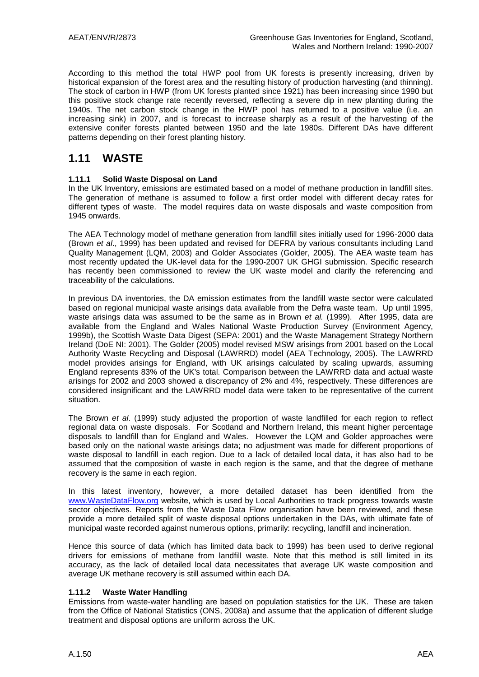According to this method the total HWP pool from UK forests is presently increasing, driven by historical expansion of the forest area and the resulting history of production harvesting (and thinning). The stock of carbon in HWP (from UK forests planted since 1921) has been increasing since 1990 but this positive stock change rate recently reversed, reflecting a severe dip in new planting during the 1940s. The net carbon stock change in the HWP pool has returned to a positive value (i.e. an increasing sink) in 2007, and is forecast to increase sharply as a result of the harvesting of the extensive conifer forests planted between 1950 and the late 1980s. Different DAs have different patterns depending on their forest planting history.

## **1.11 WASTE**

### **1.11.1 Solid Waste Disposal on Land**

In the UK Inventory, emissions are estimated based on a model of methane production in landfill sites. The generation of methane is assumed to follow a first order model with different decay rates for different types of waste. The model requires data on waste disposals and waste composition from 1945 onwards.

The AEA Technology model of methane generation from landfill sites initially used for 1996-2000 data (Brown *et al*., 1999) has been updated and revised for DEFRA by various consultants including Land Quality Management (LQM, 2003) and Golder Associates (Golder, 2005). The AEA waste team has most recently updated the UK-level data for the 1990-2007 UK GHGI submission. Specific research has recently been commissioned to review the UK waste model and clarify the referencing and traceability of the calculations.

In previous DA inventories, the DA emission estimates from the landfill waste sector were calculated based on regional municipal waste arisings data available from the Defra waste team. Up until 1995, waste arisings data was assumed to be the same as in Brown *et al.* (1999). After 1995, data are available from the England and Wales National Waste Production Survey (Environment Agency, 1999b), the Scottish Waste Data Digest (SEPA: 2001) and the Waste Management Strategy Northern Ireland (DoE NI: 2001). The Golder (2005) model revised MSW arisings from 2001 based on the Local Authority Waste Recycling and Disposal (LAWRRD) model (AEA Technology, 2005). The LAWRRD model provides arisings for England, with UK arisings calculated by scaling upwards, assuming England represents 83% of the UK's total. Comparison between the LAWRRD data and actual waste arisings for 2002 and 2003 showed a discrepancy of 2% and 4%, respectively. These differences are considered insignificant and the LAWRRD model data were taken to be representative of the current situation.

The Brown *et al*. (1999) study adjusted the proportion of waste landfilled for each region to reflect regional data on waste disposals. For Scotland and Northern Ireland, this meant higher percentage disposals to landfill than for England and Wales. However the LQM and Golder approaches were based only on the national waste arisings data; no adjustment was made for different proportions of waste disposal to landfill in each region. Due to a lack of detailed local data, it has also had to be assumed that the composition of waste in each region is the same, and that the degree of methane recovery is the same in each region.

In this latest inventory, however, a more detailed dataset has been identified from the [www.WasteDataFlow.org](http://www.wastedataflow.org/) website, which is used by Local Authorities to track progress towards waste sector objectives. Reports from the Waste Data Flow organisation have been reviewed, and these provide a more detailed split of waste disposal options undertaken in the DAs, with ultimate fate of municipal waste recorded against numerous options, primarily: recycling, landfill and incineration.

Hence this source of data (which has limited data back to 1999) has been used to derive regional drivers for emissions of methane from landfill waste. Note that this method is still limited in its accuracy, as the lack of detailed local data necessitates that average UK waste composition and average UK methane recovery is still assumed within each DA.

### **1.11.2 Waste Water Handling**

Emissions from waste-water handling are based on population statistics for the UK. These are taken from the Office of National Statistics (ONS, 2008a) and assume that the application of different sludge treatment and disposal options are uniform across the UK.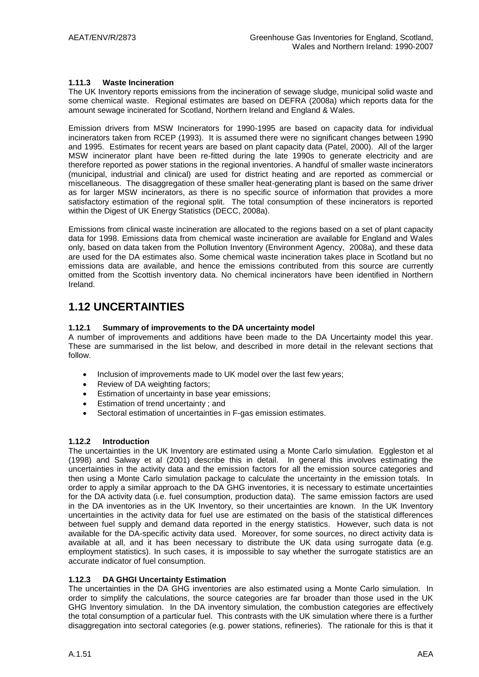### **1.11.3 Waste Incineration**

The UK Inventory reports emissions from the incineration of sewage sludge, municipal solid waste and some chemical waste. Regional estimates are based on DEFRA (2008a) which reports data for the amount sewage incinerated for Scotland, Northern Ireland and England & Wales.

Emission drivers from MSW Incinerators for 1990-1995 are based on capacity data for individual incinerators taken from RCEP (1993). It is assumed there were no significant changes between 1990 and 1995. Estimates for recent years are based on plant capacity data (Patel, 2000). All of the larger MSW incinerator plant have been re-fitted during the late 1990s to generate electricity and are therefore reported as power stations in the regional inventories. A handful of smaller waste incinerators (municipal, industrial and clinical) are used for district heating and are reported as commercial or miscellaneous. The disaggregation of these smaller heat-generating plant is based on the same driver as for larger MSW incinerators, as there is no specific source of information that provides a more satisfactory estimation of the regional split. The total consumption of these incinerators is reported within the Digest of UK Energy Statistics (DECC, 2008a).

Emissions from clinical waste incineration are allocated to the regions based on a set of plant capacity data for 1998. Emissions data from chemical waste incineration are available for England and Wales only, based on data taken from the Pollution Inventory (Environment Agency, 2008a), and these data are used for the DA estimates also. Some chemical waste incineration takes place in Scotland but no emissions data are available, and hence the emissions contributed from this source are currently omitted from the Scottish inventory data. No chemical incinerators have been identified in Northern Ireland.

# **1.12 UNCERTAINTIES**

#### **1.12.1 Summary of improvements to the DA uncertainty model**

A number of improvements and additions have been made to the DA Uncertainty model this year. These are summarised in the list below, and described in more detail in the relevant sections that follow.

- Inclusion of improvements made to UK model over the last few years;
- Review of DA weighting factors;
- **Estimation of uncertainty in base year emissions;**
- **Estimation of trend uncertainty; and**
- Sectoral estimation of uncertainties in F-gas emission estimates.

#### **1.12.2 Introduction**

The uncertainties in the UK Inventory are estimated using a Monte Carlo simulation. Eggleston et al (1998) and Salway et al (2001) describe this in detail. In general this involves estimating the uncertainties in the activity data and the emission factors for all the emission source categories and then using a Monte Carlo simulation package to calculate the uncertainty in the emission totals. In order to apply a similar approach to the DA GHG inventories, it is necessary to estimate uncertainties for the DA activity data (i.e. fuel consumption, production data). The same emission factors are used in the DA inventories as in the UK Inventory, so their uncertainties are known. In the UK Inventory uncertainties in the activity data for fuel use are estimated on the basis of the statistical differences between fuel supply and demand data reported in the energy statistics. However, such data is not available for the DA-specific activity data used. Moreover, for some sources, no direct activity data is available at all, and it has been necessary to distribute the UK data using surrogate data (e.g. employment statistics). In such cases, it is impossible to say whether the surrogate statistics are an accurate indicator of fuel consumption.

### **1.12.3 DA GHGI Uncertainty Estimation**

The uncertainties in the DA GHG inventories are also estimated using a Monte Carlo simulation. In order to simplify the calculations, the source categories are far broader than those used in the UK GHG Inventory simulation. In the DA inventory simulation, the combustion categories are effectively the total consumption of a particular fuel. This contrasts with the UK simulation where there is a further disaggregation into sectoral categories (e.g. power stations, refineries). The rationale for this is that it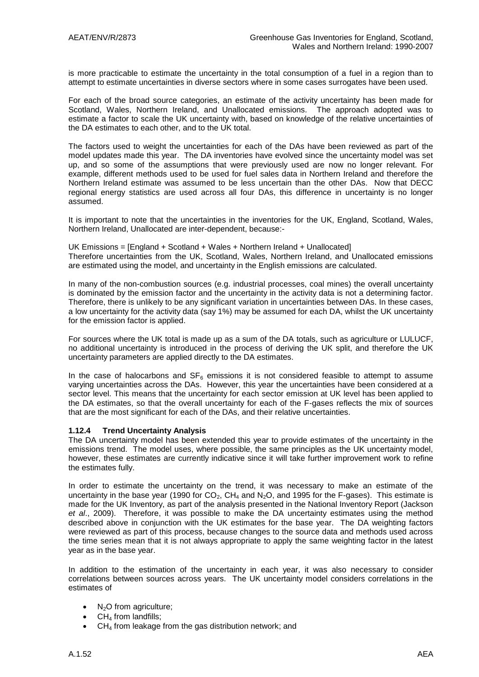is more practicable to estimate the uncertainty in the total consumption of a fuel in a region than to attempt to estimate uncertainties in diverse sectors where in some cases surrogates have been used.

For each of the broad source categories, an estimate of the activity uncertainty has been made for Scotland, Wales, Northern Ireland, and Unallocated emissions. The approach adopted was to estimate a factor to scale the UK uncertainty with, based on knowledge of the relative uncertainties of the DA estimates to each other, and to the UK total.

The factors used to weight the uncertainties for each of the DAs have been reviewed as part of the model updates made this year. The DA inventories have evolved since the uncertainty model was set up, and so some of the assumptions that were previously used are now no longer relevant. For example, different methods used to be used for fuel sales data in Northern Ireland and therefore the Northern Ireland estimate was assumed to be less uncertain than the other DAs. Now that DECC regional energy statistics are used across all four DAs, this difference in uncertainty is no longer assumed.

It is important to note that the uncertainties in the inventories for the UK, England, Scotland, Wales, Northern Ireland, Unallocated are inter-dependent, because:-

UK Emissions = [England + Scotland + Wales + Northern Ireland + Unallocated] Therefore uncertainties from the UK, Scotland, Wales, Northern Ireland, and Unallocated emissions are estimated using the model, and uncertainty in the English emissions are calculated.

In many of the non-combustion sources (e.g. industrial processes, coal mines) the overall uncertainty is dominated by the emission factor and the uncertainty in the activity data is not a determining factor. Therefore, there is unlikely to be any significant variation in uncertainties between DAs. In these cases, a low uncertainty for the activity data (say 1%) may be assumed for each DA, whilst the UK uncertainty for the emission factor is applied.

For sources where the UK total is made up as a sum of the DA totals, such as agriculture or LULUCF, no additional uncertainty is introduced in the process of deriving the UK split, and therefore the UK uncertainty parameters are applied directly to the DA estimates.

In the case of halocarbons and  $SF_6$  emissions it is not considered feasible to attempt to assume varying uncertainties across the DAs. However, this year the uncertainties have been considered at a sector level. This means that the uncertainty for each sector emission at UK level has been applied to the DA estimates, so that the overall uncertainty for each of the F-gases reflects the mix of sources that are the most significant for each of the DAs, and their relative uncertainties.

#### **1.12.4 Trend Uncertainty Analysis**

The DA uncertainty model has been extended this year to provide estimates of the uncertainty in the emissions trend. The model uses, where possible, the same principles as the UK uncertainty model, however, these estimates are currently indicative since it will take further improvement work to refine the estimates fully.

In order to estimate the uncertainty on the trend, it was necessary to make an estimate of the uncertainty in the base year (1990 for  $CO<sub>2</sub>$ , CH<sub>4</sub> and N<sub>2</sub>O, and 1995 for the F-gases). This estimate is made for the UK Inventory, as part of the analysis presented in the National Inventory Report (Jackson *et al*., 2009). Therefore, it was possible to make the DA uncertainty estimates using the method described above in conjunction with the UK estimates for the base year. The DA weighting factors were reviewed as part of this process, because changes to the source data and methods used across the time series mean that it is not always appropriate to apply the same weighting factor in the latest year as in the base year.

In addition to the estimation of the uncertainty in each year, it was also necessary to consider correlations between sources across years. The UK uncertainty model considers correlations in the estimates of

- $\bullet$  N<sub>2</sub>O from agriculture;
- $\bullet$  CH<sub>4</sub> from landfills;
- $\bullet$  CH<sub>4</sub> from leakage from the gas distribution network; and